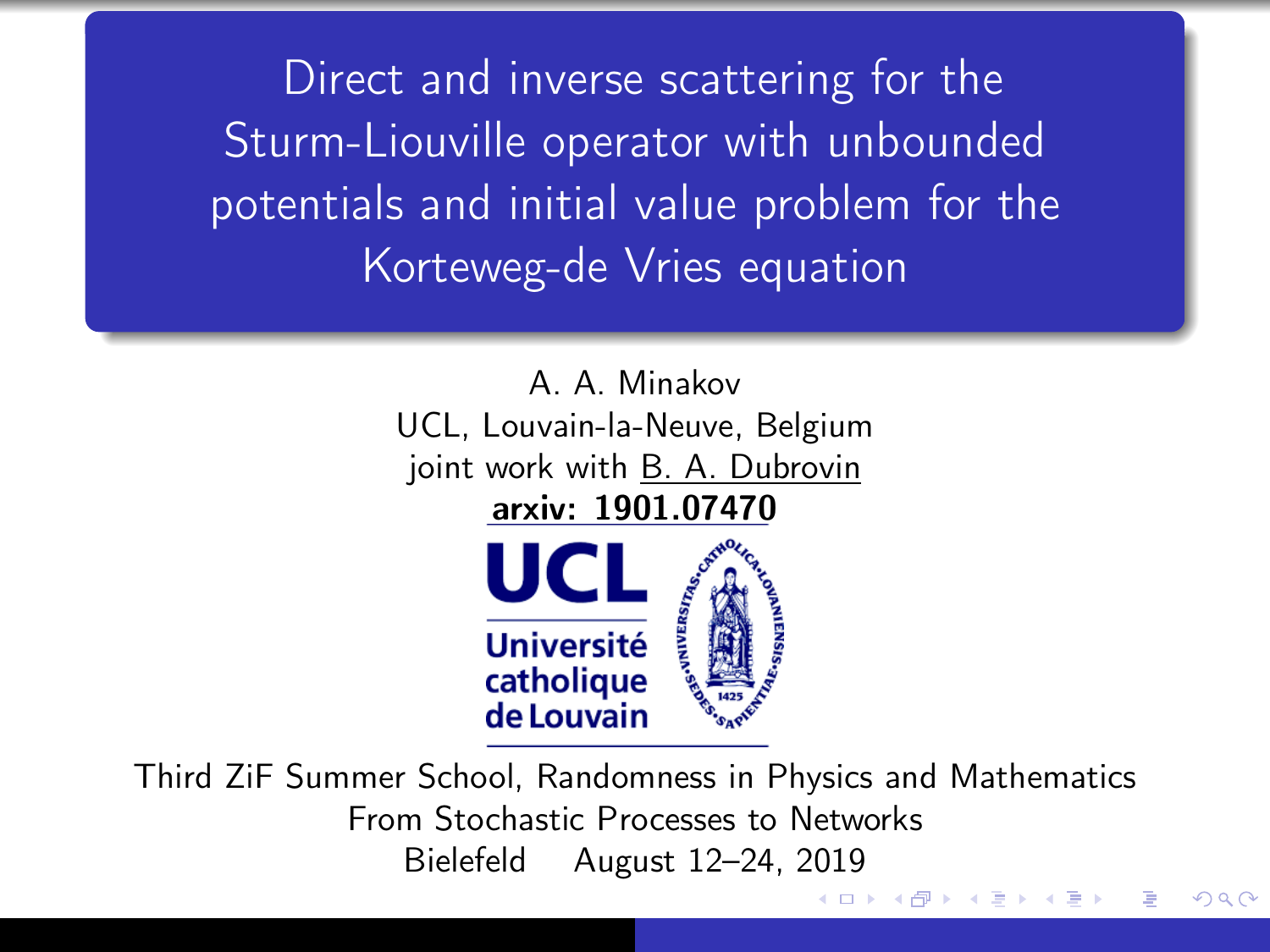Direct and inverse scattering for the Sturm-Liouville operator with unbounded potentials and initial value problem for the Korteweg-de Vries equation



Third ZiF Summer School, Randomness in Physics and Mathematics From Stochastic Processes to Networks Bielefeld August 12–24, 2019

つくい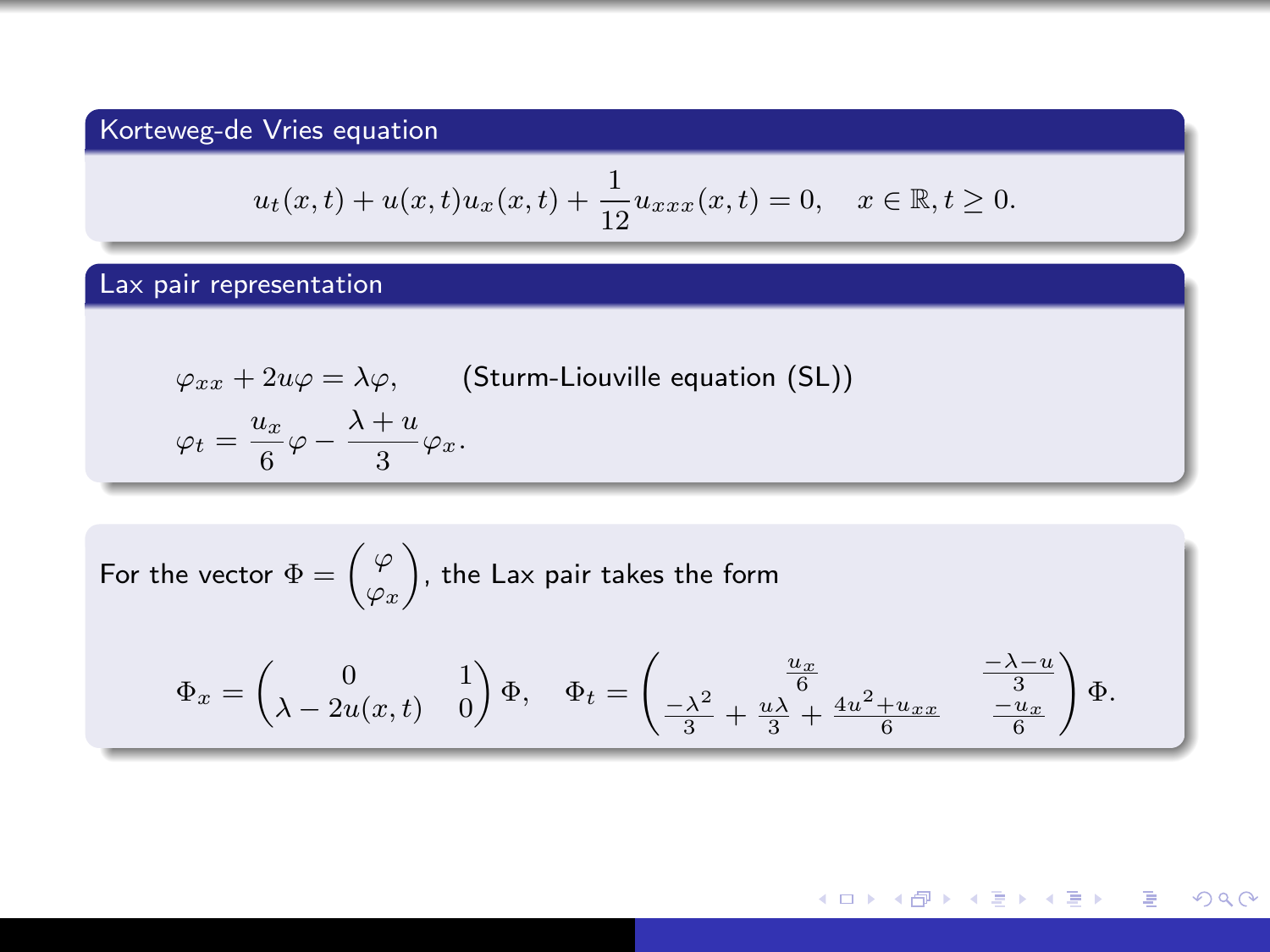## Korteweg-de Vries equation

$$
u_t(x,t) + u(x,t)u_x(x,t) + \frac{1}{12}u_{xxx}(x,t) = 0, \quad x \in \mathbb{R}, t \ge 0.
$$

## Lax pair representation

$$
\varphi_{xx} + 2u\varphi = \lambda\varphi, \qquad \text{(Sturm-Liouville equation (SL))}
$$

$$
\varphi_t = \frac{u_x}{6}\varphi - \frac{\lambda + u}{3}\varphi_x.
$$

For the vector 
$$
\Phi = \begin{pmatrix} \varphi \\ \varphi_x \end{pmatrix}
$$
, the Lax pair takes the form  
\n
$$
\Phi_x = \begin{pmatrix} 0 & 1 \\ \lambda - 2u(x, t) & 0 \end{pmatrix} \Phi, \quad \Phi_t = \begin{pmatrix} \frac{u_x}{6} & \frac{-\lambda - u}{3} \\ \frac{-\lambda^2}{3} + \frac{u\lambda}{3} + \frac{4u^2 + u_{xx}}{6} & \frac{-u_x}{6} \end{pmatrix} \Phi.
$$

メロトメ 御 トメ 君 トメ 君 トッ 君  $299$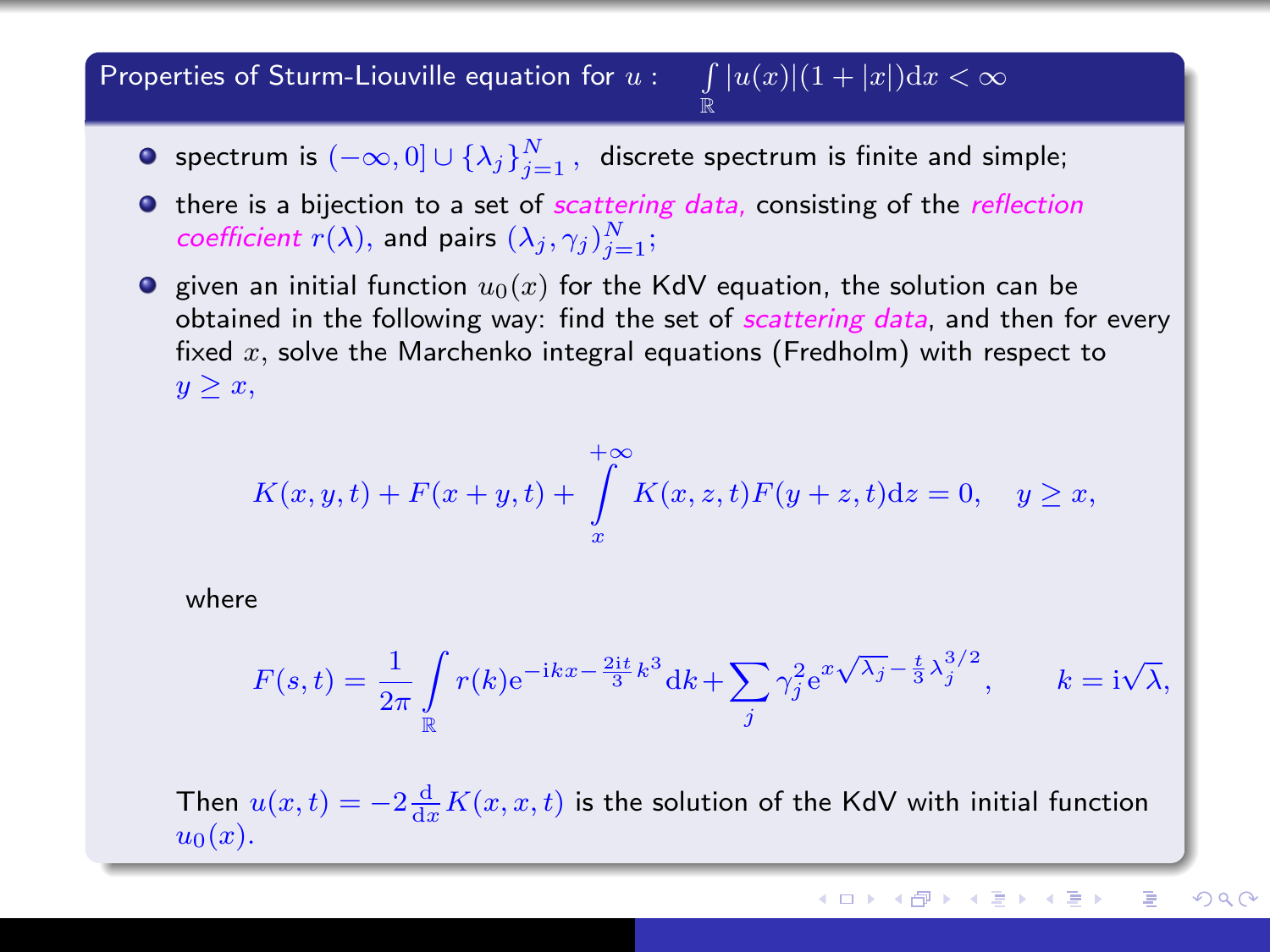#### Properties of Sturm-Liouville equation for  $u: \quad \int |u(x)|(1+|x|) {\rm d} x < \infty$ R

- spectrum is  $(-\infty,0] \cup \{\lambda_j\}_{j=1}^N$  , discrete spectrum is finite and simple;
- $\bullet$  there is a bijection to a set of *scattering data*, consisting of the *reflection* coefficient  $r(\lambda)$ , and pairs  $(\lambda_j, \gamma_j)_{j=1}^N$ ;
- **F** given an initial function  $u_0(x)$  for the KdV equation, the solution can be obtained in the following way: find the set of *scattering data*, and then for every fixed  $x$ , solve the Marchenko integral equations (Fredholm) with respect to  $y \geq x$ ,

$$
K(x, y, t) + F(x + y, t) + \int_{x}^{+\infty} K(x, z, t)F(y + z, t)dz = 0, \quad y \ge x,
$$

where

$$
F(s,t) = \frac{1}{2\pi} \int\limits_{\mathbb{R}} r(k)e^{-ikx - \frac{2it}{3}k^3} dk + \sum_j \gamma_j^2 e^{x\sqrt{\lambda_j} - \frac{t}{3}\lambda_j^{3/2}}, \qquad k = i\sqrt{\lambda},
$$

Then  $u(x,t) = -2\frac{d}{dx}K(x,x,t)$  is the solution of the KdV with initial function  $u_0(x)$ .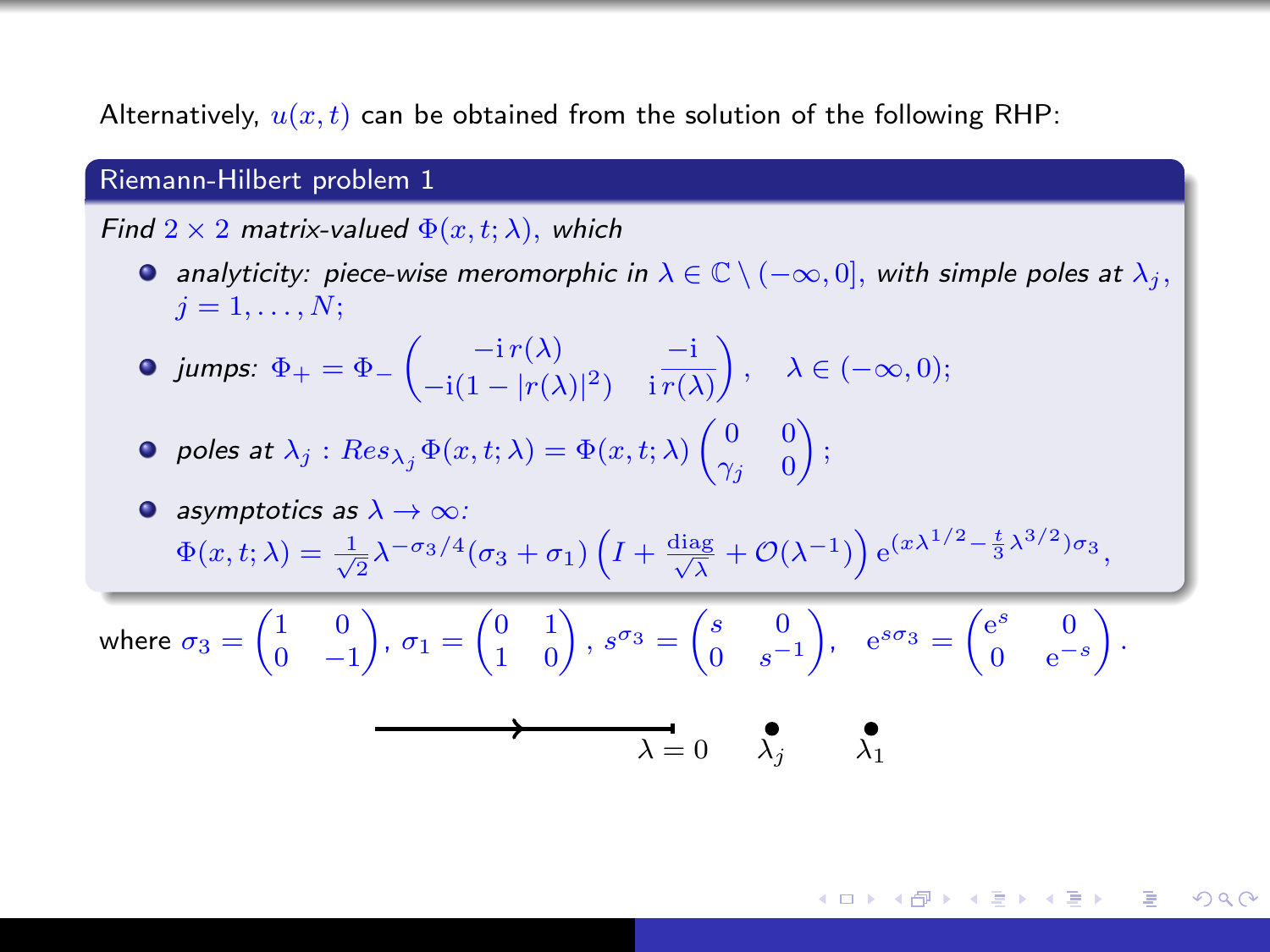Alternatively,  $u(x, t)$  can be obtained from the solution of the following RHP:

#### Riemann-Hilbert problem 1

Find  $2 \times 2$  matrix-valued  $\Phi(x, t; \lambda)$ , which

- **•** analyticity: piece-wise meromorphic in  $\lambda \in \mathbb{C} \setminus (-\infty, 0]$ , with simple poles at  $\lambda_j$ ,  $i=1,\ldots,N$ :
- jumps:  $\Phi_+ = \Phi_- \begin{pmatrix} -ir(\lambda) & -i \\ -i(1 in(\lambda))2 & -i \overline{n(\lambda)} \end{pmatrix}$  $-i(1-|r(\lambda)|^2)$  i  $\overline{r(\lambda)}$  $\bigg\},\quad\lambda\in(-\infty,0);$
- poles at  $\lambda_j$  :  $Res_{\lambda_j}\Phi(x,t;\lambda)=\Phi(x,t;\lambda)\begin{pmatrix} 0 & 0 \ \gamma_j & 0 \end{pmatrix}$  $\gamma_j=0$  $\big)$  ;

• asymptotics as 
$$
\lambda \to \infty
$$
:  
\n
$$
\Phi(x, t; \lambda) = \frac{1}{\sqrt{2}} \lambda^{-\sigma_3/4} (\sigma_3 + \sigma_1) \left( I + \frac{\text{diag}}{\sqrt{\lambda}} + \mathcal{O}(\lambda^{-1}) \right) e^{(x\lambda^{1/2} - \frac{t}{3}\lambda^{3/2})\sigma_3},
$$

where  $\sigma_3 = \begin{pmatrix} 1 & 0 \\ 0 & 0 \end{pmatrix}$  $0 -1$  $\left( \begin{matrix} 0&1\ 1&0 \end{matrix} \right),\, s^{\sigma_3}=\begin{pmatrix} s&0\ 0&s^{-} \end{pmatrix}$  $0 \t s^{-1}$ ),  $e^{s\sigma_3} = \begin{pmatrix} e^s & 0 \\ 0 & -e^{-s} \end{pmatrix}$  $0 \text{ } e^{-s}$ .

$$
\lambda = 0 \qquad \lambda_j \qquad \lambda_1
$$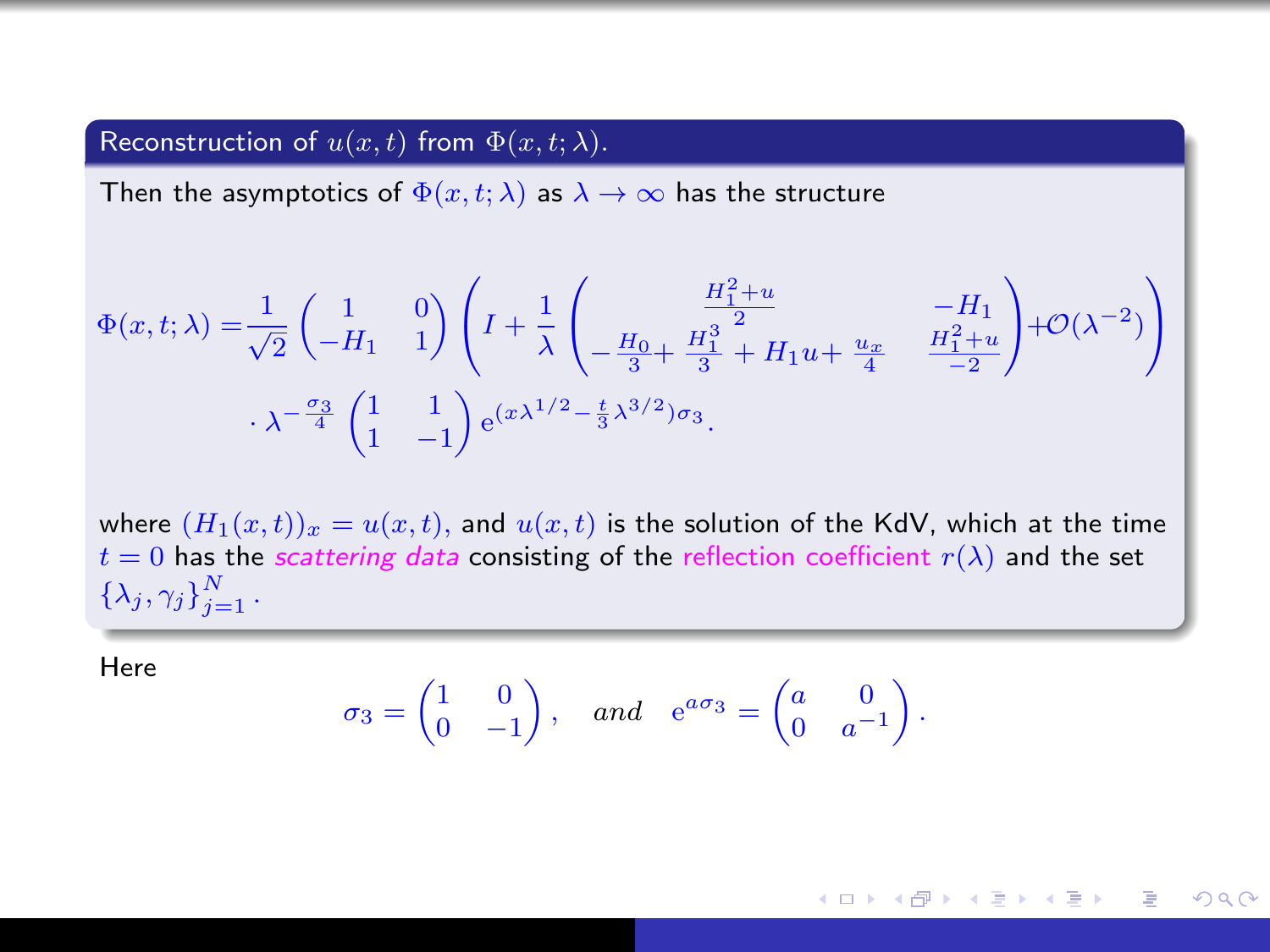## Reconstruction of  $u(x, t)$  from  $\Phi(x, t; \lambda)$ .

Then the asymptotics of  $\Phi(x, t; \lambda)$  as  $\lambda \to \infty$  has the structure

$$
\Phi(x,t;\lambda) = \frac{1}{\sqrt{2}} \begin{pmatrix} 1 & 0 \\ -H_1 & 1 \end{pmatrix} \left( I + \frac{1}{\lambda} \begin{pmatrix} \frac{H_1^2 + u}{2} & -H_1 \\ -\frac{H_0}{3} + \frac{H_1^3}{3} + H_1 u + \frac{u_x}{4} & \frac{H_1^2 + u}{-2} \end{pmatrix} + \mathcal{O}(\lambda^{-2}) \right)
$$

$$
\lambda^{-\frac{\sigma_3}{4}} \begin{pmatrix} 1 & 1 \\ 1 & -1 \end{pmatrix} e^{(x\lambda^{1/2} - \frac{t}{3}\lambda^{3/2})\sigma_3}.
$$

where  $(H_1(x,t))_x = u(x,t)$ , and  $u(x,t)$  is the solution of the KdV, which at the time  $t = 0$  has the *scattering data* consisting of the reflection coefficient  $r(\lambda)$  and the set  $\{\lambda_j,\gamma_j\}_{j=1}^N$  .

Here

$$
\sigma_3 = \begin{pmatrix} 1 & 0 \\ 0 & -1 \end{pmatrix}, \quad and \quad e^{a\sigma_3} = \begin{pmatrix} a & 0 \\ 0 & a^{-1} \end{pmatrix}.
$$

メロメ メ母メ メミメ メミメー 重  $\Omega$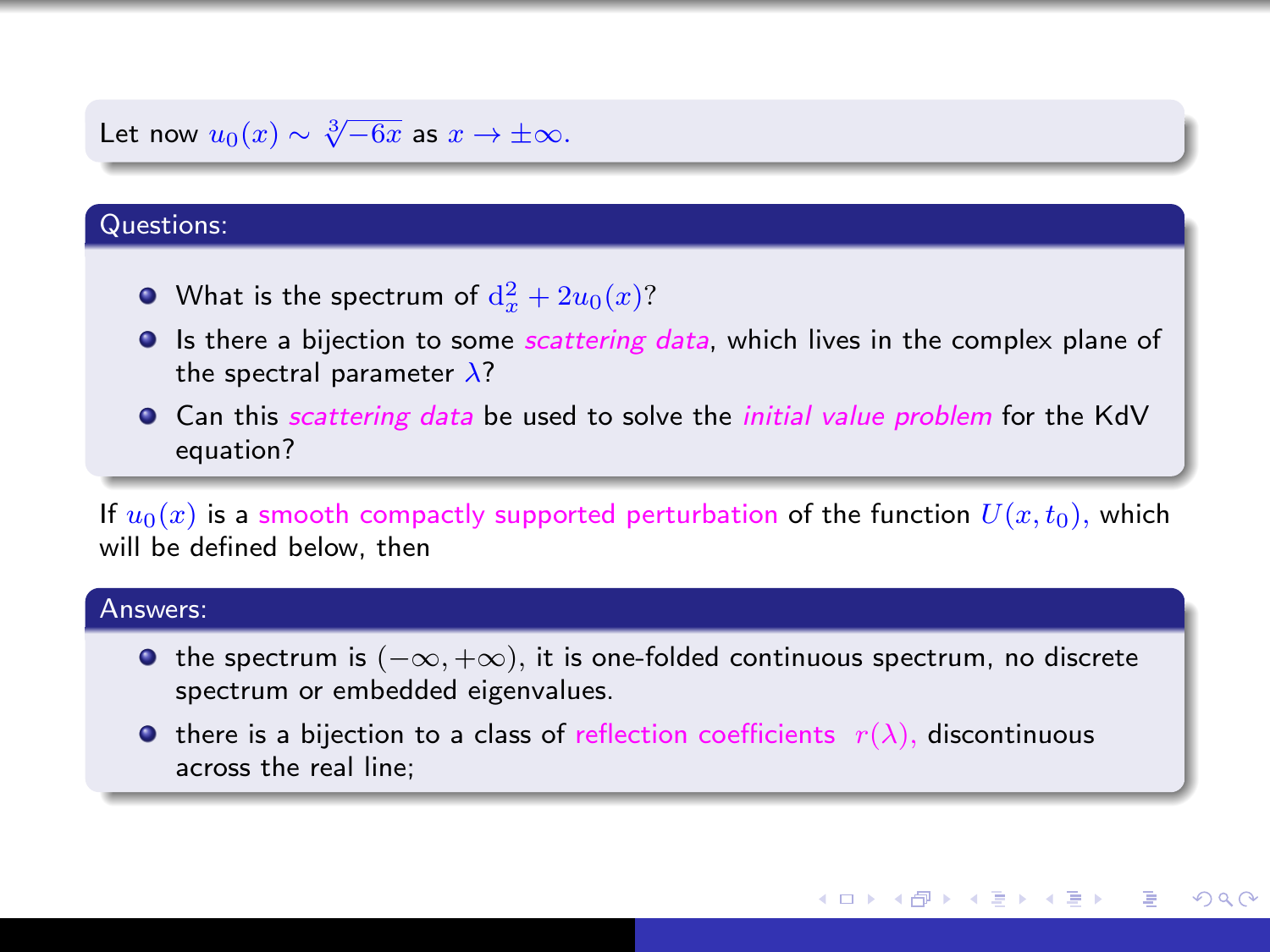# Let now  $u_0(x) \sim \sqrt[3]{-6x}$  as  $x \to \pm \infty$ .

#### Questions:

- What is the spectrum of  $\mathrm{d}^2_x + 2u_0(x)$ ?
- $\bullet$  Is there a bijection to some *scattering data*, which lives in the complex plane of the spectral parameter  $\lambda$ ?
- **Can this scattering data be used to solve the** *initial value problem* **for the KdV** equation?

If  $u_0(x)$  is a smooth compactly supported perturbation of the function  $U(x, t_0)$ , which will be defined below, then

#### Answers:

- $\bullet$  the spectrum is  $(-\infty, +\infty)$ , it is one-folded continuous spectrum, no discrete spectrum or embedded eigenvalues.
- **•** there is a bijection to a class of reflection coefficients  $r(\lambda)$ , discontinuous across the real line;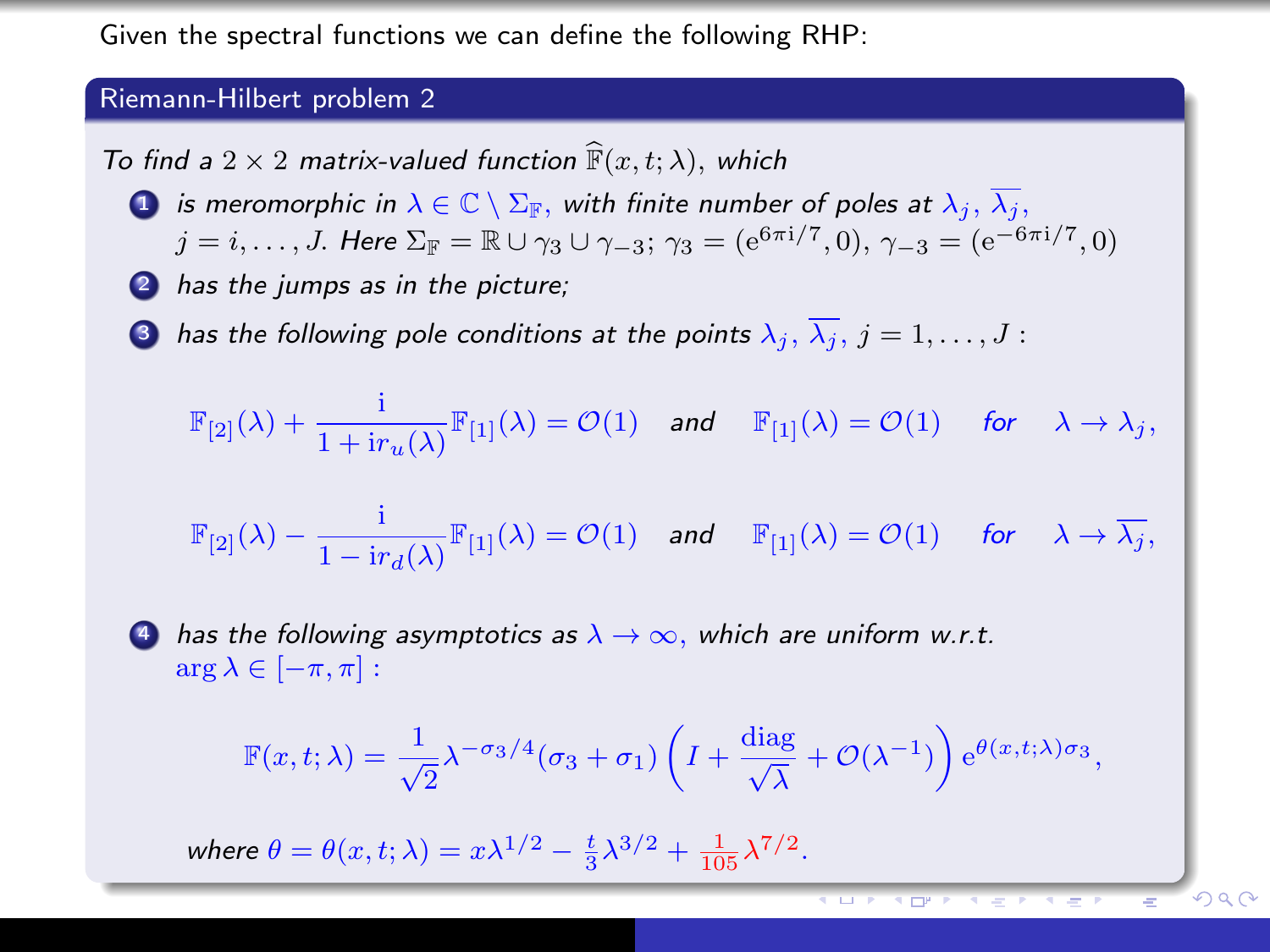Given the spectral functions we can define the following RHP:

## Riemann-Hilbert problem 2

To find a  $2 \times 2$  matrix-valued function  $\widehat{F}(x, t; \lambda)$ , which

**1** is meromorphic in  $\lambda \in \mathbb{C} \setminus \Sigma_{\mathbb{F}}$ , with finite number of poles at  $\lambda_i$ ,  $\overline{\lambda_i}$ ,

$$
j = i, ..., J
$$
. Here  $\Sigma_{\mathbb{F}} = \mathbb{R} \cup \gamma_3 \cup \gamma_{-3}; \ \gamma_3 = (e^{6\pi i/7}, 0), \ \gamma_{-3} = (e^{-6\pi i/7}, 0)$ 

- 2 has the jumps as in the picture;
- **3** has the following pole conditions at the points  $\lambda_j$ ,  $\overline{\lambda_j}$ ,  $j = 1, \ldots, J$ :

$$
\mathbb{F}_{[2]}(\lambda) + \frac{i}{1 + \mathrm{i}r_u(\lambda)} \mathbb{F}_{[1]}(\lambda) = \mathcal{O}(1) \quad \text{and} \quad \mathbb{F}_{[1]}(\lambda) = \mathcal{O}(1) \quad \text{for} \quad \lambda \to \lambda_j,
$$

$$
\mathbb{F}_{[2]}(\lambda) - \frac{i}{1 - ir_d(\lambda)} \mathbb{F}_{[1]}(\lambda) = \mathcal{O}(1) \quad \text{and} \quad \mathbb{F}_{[1]}(\lambda) = \mathcal{O}(1) \quad \text{for} \quad \lambda \to \overline{\lambda_j},
$$

4 has the following asymptotics as  $\lambda \to \infty$ , which are uniform w.r.t.  $\arg \lambda \in [-\pi, \pi]$ :

$$
\mathbb{F}(x,t;\lambda) = \frac{1}{\sqrt{2}} \lambda^{-\sigma_3/4} (\sigma_3 + \sigma_1) \left( I + \frac{\text{diag}}{\sqrt{\lambda}} + \mathcal{O}(\lambda^{-1}) \right) e^{\theta(x,t;\lambda)\sigma_3},
$$

where  $\theta = \theta(x, t; \lambda) = x\lambda^{1/2} - \frac{t}{3}\lambda^{3/2} + \frac{1}{105}\lambda^{7/2}$ .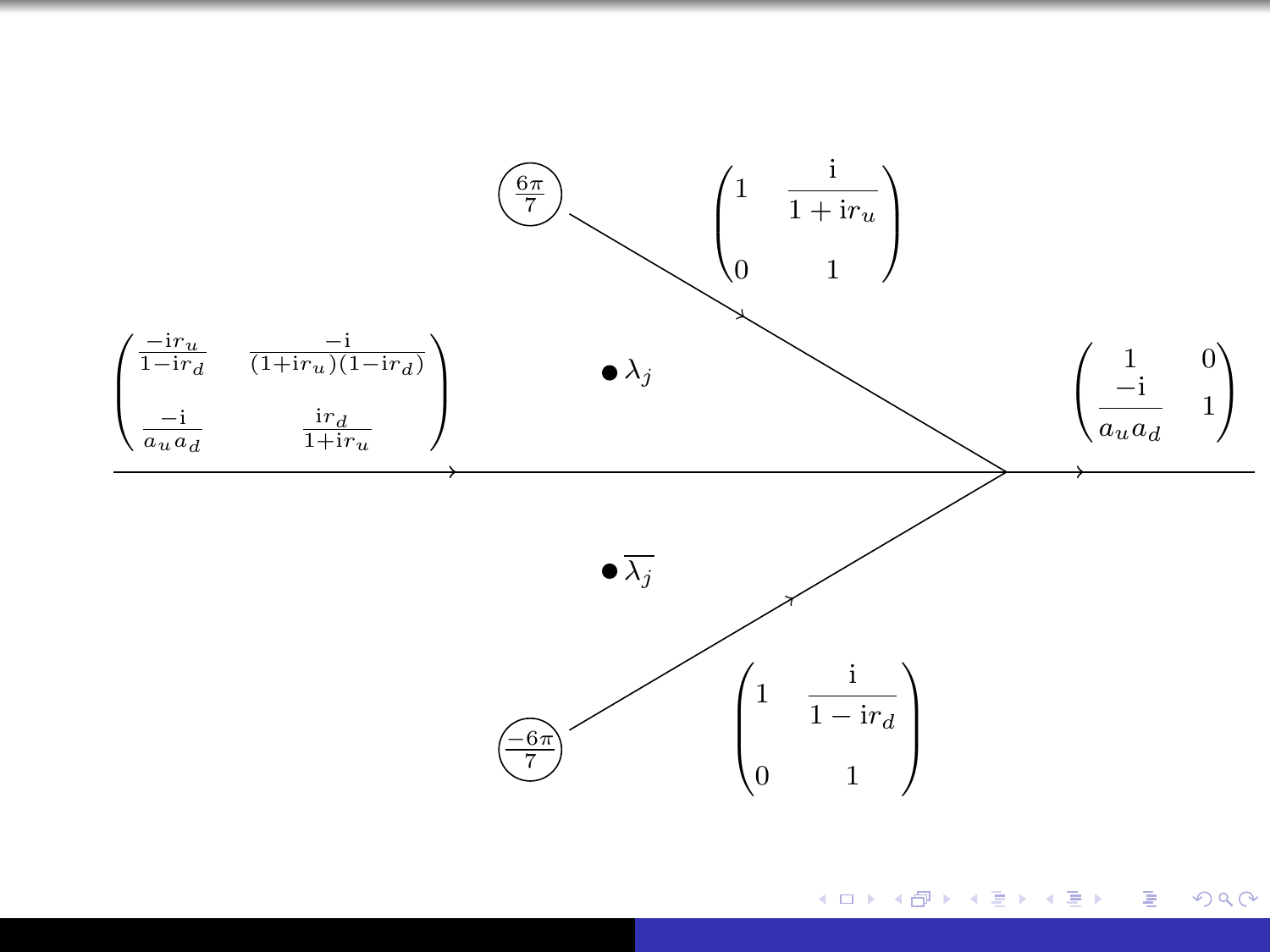

メロメ メ御 メメ きょく モメー 活  $299$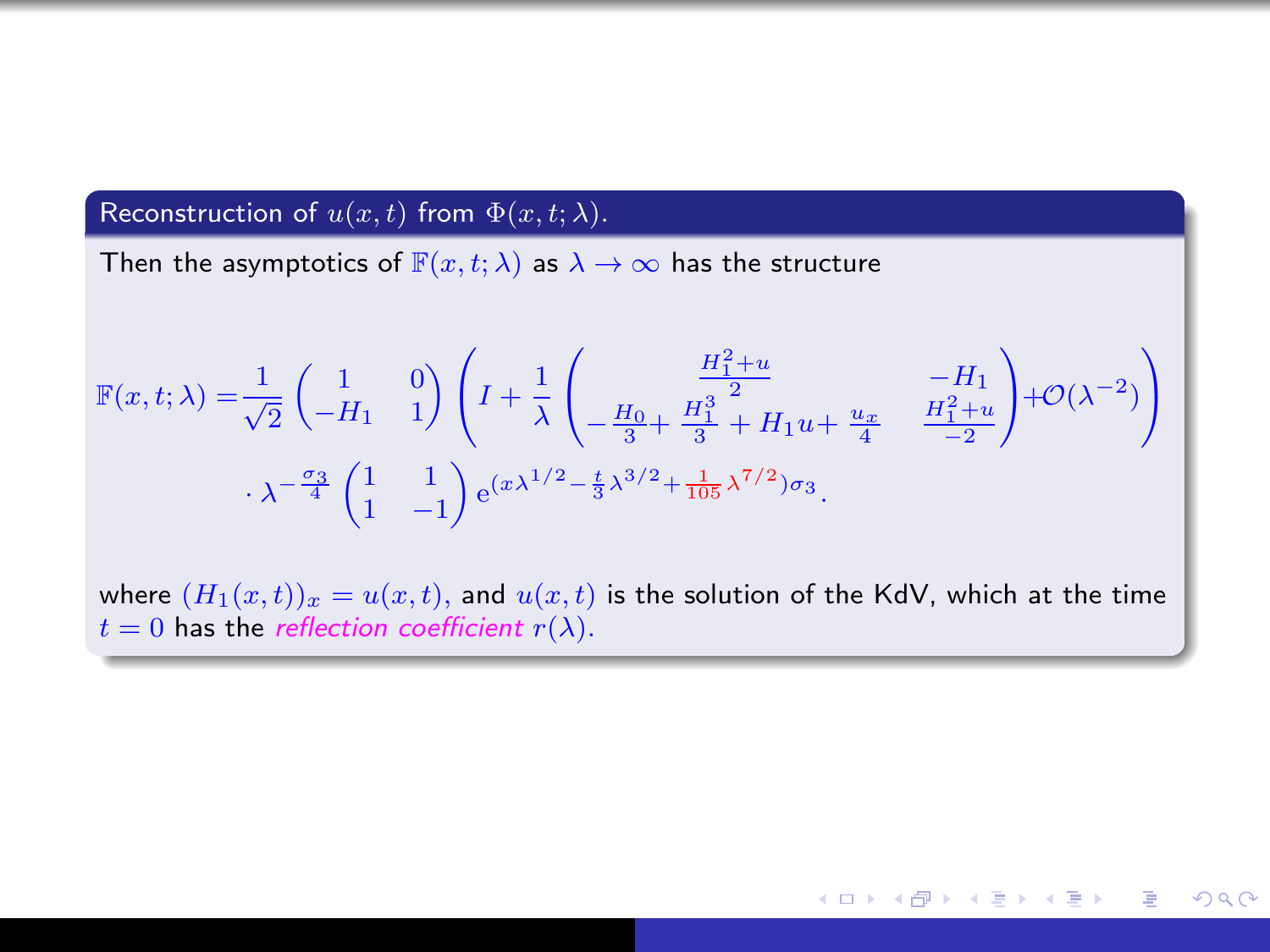## Reconstruction of  $u(x, t)$  from  $\Phi(x, t; \lambda)$ .

Then the asymptotics of  $\mathbb{F}(x, t; \lambda)$  as  $\lambda \to \infty$  has the structure

$$
\mathbb{F}(x,t;\lambda) = \frac{1}{\sqrt{2}} \begin{pmatrix} 1 & 0 \\ -H_1 & 1 \end{pmatrix} \left( I + \frac{1}{\lambda} \begin{pmatrix} \frac{H_1^2 + u}{2} & -H_1 \\ -\frac{H_0}{3} + \frac{H_1^2}{3} + H_1 u + \frac{u_x}{4} & \frac{H_1^2 + u}{-2} \\ -\frac{2}{3} + H_1 u + \frac{u_x}{4} & \frac{H_1^2 + u}{-2} \end{pmatrix} + \mathcal{O}(\lambda^{-2}) \right)
$$
  

$$
\lambda^{-\frac{\sigma_3}{4}} \left( \begin{pmatrix} 1 & 1 \\ 1 & -1 \end{pmatrix} e^{(x\lambda^{1/2} - \frac{t}{3}\lambda^{3/2} + \frac{1}{105}\lambda^{7/2})\sigma_3}.
$$

where  $(H_1(x,t))_x = u(x,t)$ , and  $u(x,t)$  is the solution of the KdV, which at the time  $t = 0$  has the reflection coefficient  $r(\lambda)$ .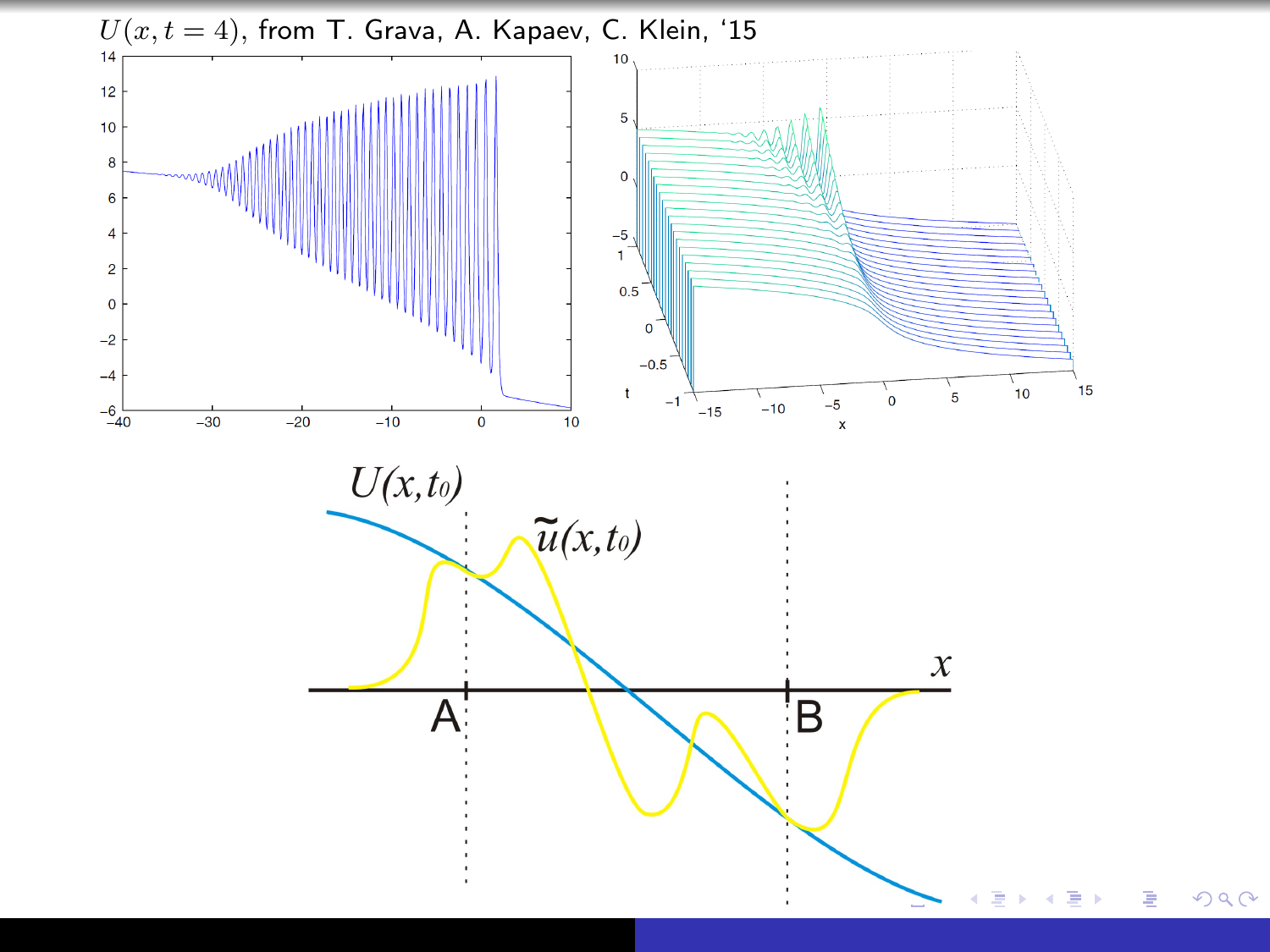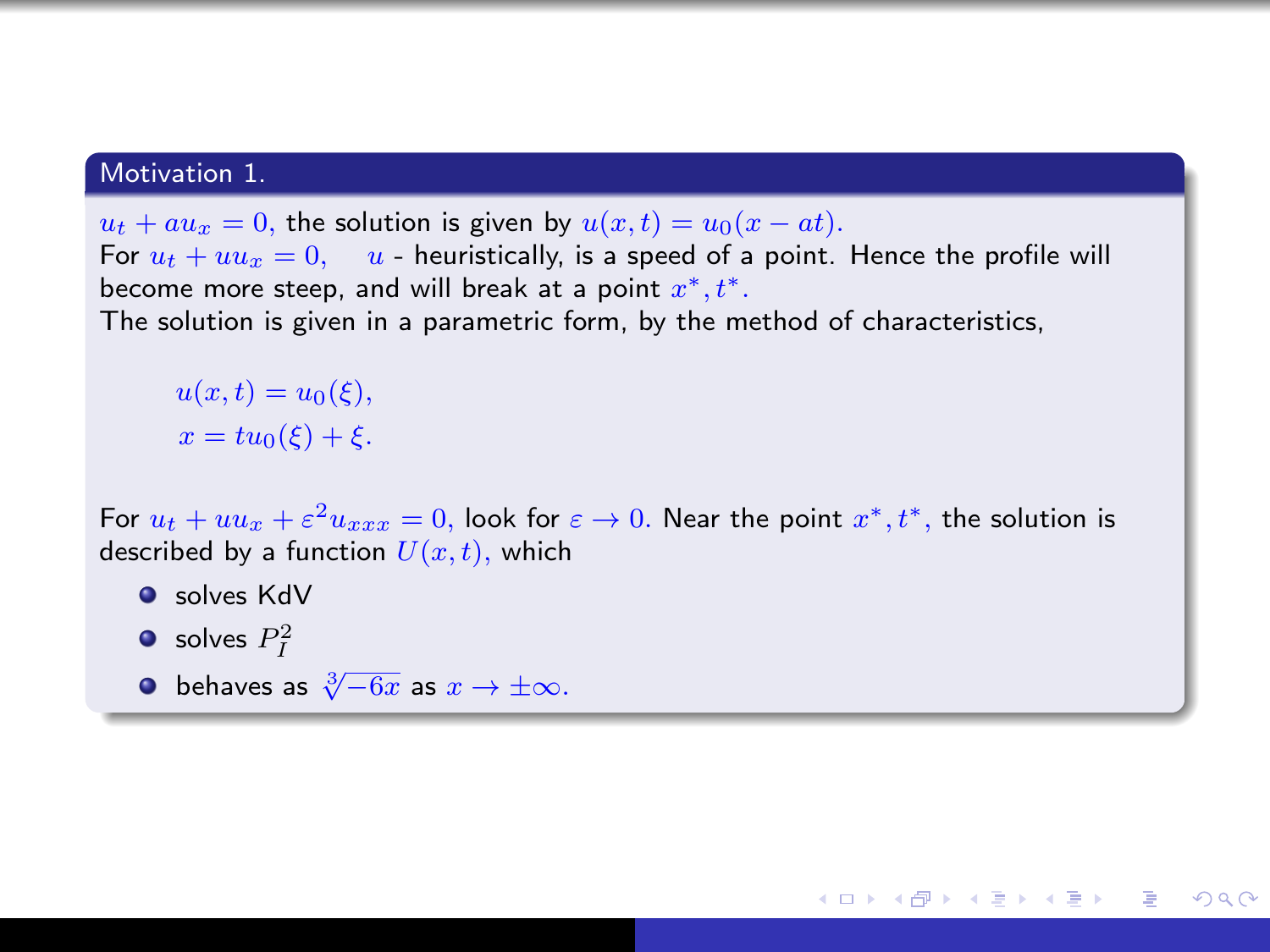#### Motivation 1.

 $u_t + au_x = 0$ , the solution is given by  $u(x, t) = u_0(x - at)$ . For  $u_t + uu_x = 0$ ,  $u$  - heuristically, is a speed of a point. Hence the profile will become more steep, and will break at a point  $x^*, t^*.$ The solution is given in a parametric form, by the method of characteristics,

 $u(x,t) = u_0(\xi),$  $x = tu_0(\xi) + \xi$ .

For  $u_t + uu_x + \varepsilon^2 u_{xxx} = 0$ , look for  $\varepsilon \to 0$ . Near the point  $x^*, t^*,$  the solution is described by a function  $U(x, t)$ , which

同 ▶ イヨ ▶ イヨ ▶ │

 $200$ 

- **O** solves KdV
- solves  $P_I^2$
- $\bullet$  behaves as  $\sqrt[3]{-6x}$  as  $x \to \pm \infty$ .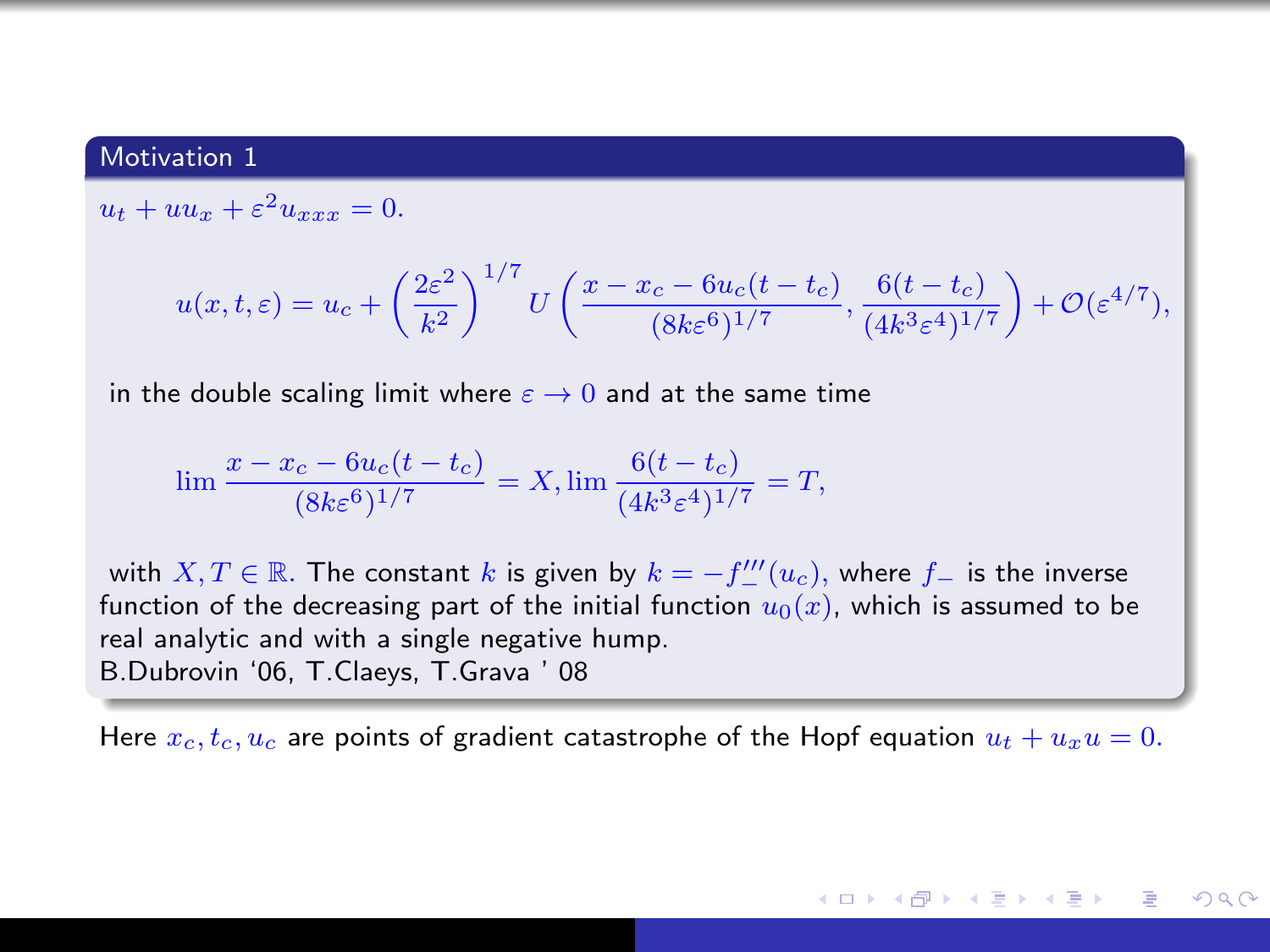#### Motivation 1

 $u_t + uu_x + \varepsilon^2 u_{xxx} = 0.$ 

$$
u(x,t,\varepsilon)=u_c+\left(\frac{2\varepsilon^2}{k^2}\right)^{1/7}U\left(\frac{x-x_c-6u_c(t-t_c)}{(8k\varepsilon^6)^{1/7}},\frac{6(t-t_c)}{(4k^3\varepsilon^4)^{1/7}}\right)+\mathcal O(\varepsilon^{4/7}),
$$

in the double scaling limit where  $\varepsilon \to 0$  and at the same time

$$
\lim \frac{x - x_c - 6u_c(t - t_c)}{(8k\epsilon^6)^{1/7}} = X, \lim \frac{6(t - t_c)}{(4k^3\epsilon^4)^{1/7}} = T,
$$

with  $X, T \in \mathbb{R}$ . The constant  $k$  is given by  $k = -f'''_-(u_c)$ , where  $f_-$  is the inverse function of the decreasing part of the initial function  $u_0(x)$ , which is assumed to be real analytic and with a single negative hump. B.Dubrovin '06, T.Claeys, T.Grava ' 08

Here  $x_c, t_c, u_c$  are points of gradient catastrophe of the Hopf equation  $u_t + u_x u = 0$ .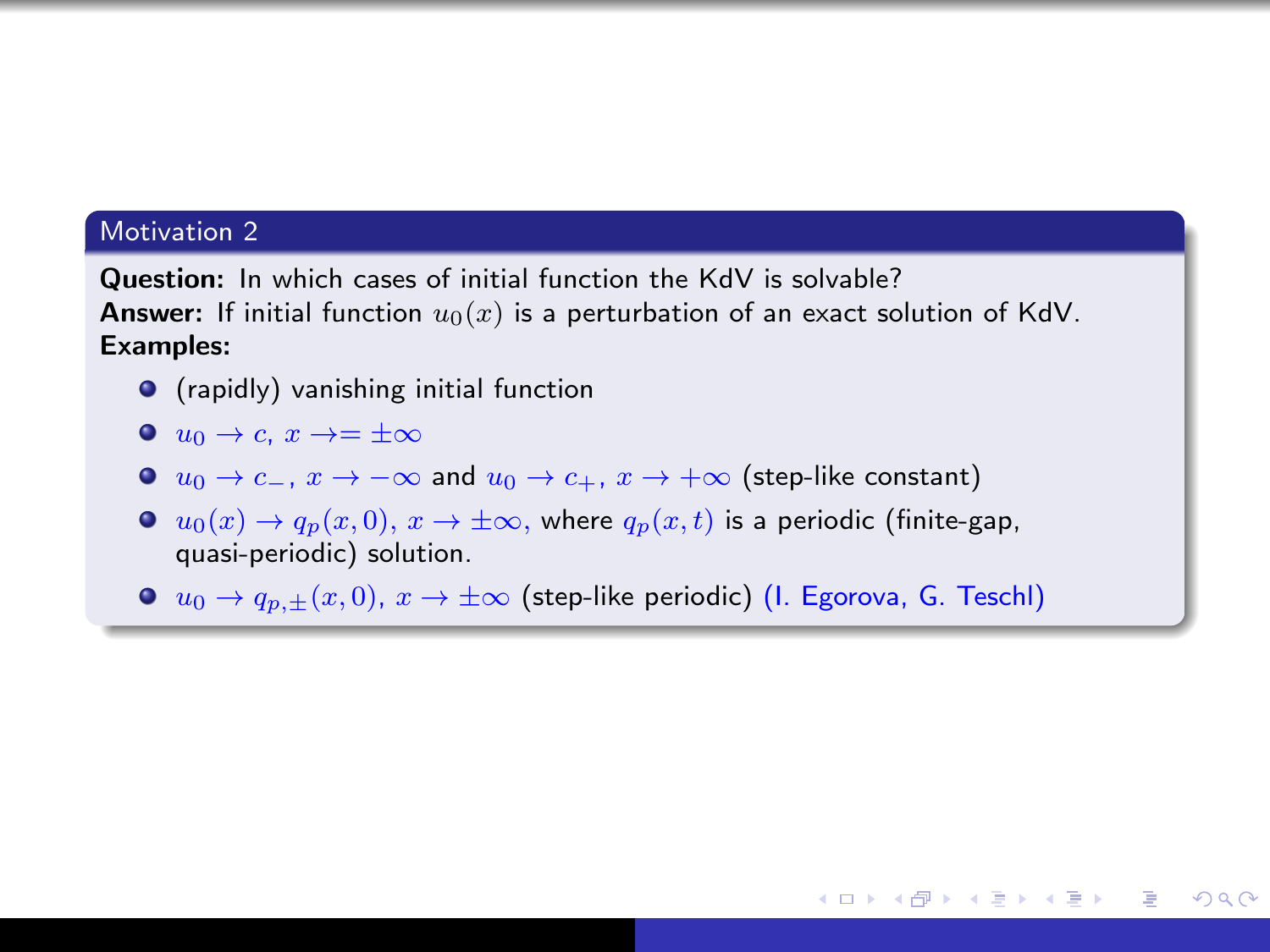#### Motivation 2

Question: In which cases of initial function the KdV is solvable? **Answer:** If initial function  $u_0(x)$  is a perturbation of an exact solution of KdV. Examples:

- $\bullet$  (rapidly) vanishing initial function
- $\bullet$   $u_0 \rightarrow c$ ,  $x \rightarrow = +\infty$
- $\bullet$   $u_0 \to c_-, x \to -\infty$  and  $u_0 \to c_+, x \to +\infty$  (step-like constant)
- $u_0(x) \to q_p(x, 0), x \to \pm \infty$ , where  $q_p(x, t)$  is a periodic (finite-gap, quasi-periodic) solution.
- $u_0 \to q_{n,+}(x, 0), x \to \pm \infty$  (step-like periodic) (I. Egorova, G. Teschl)

K ロ ▶ K @ ▶ K 경 ▶ K 경 ▶ X / 경

 $\Omega$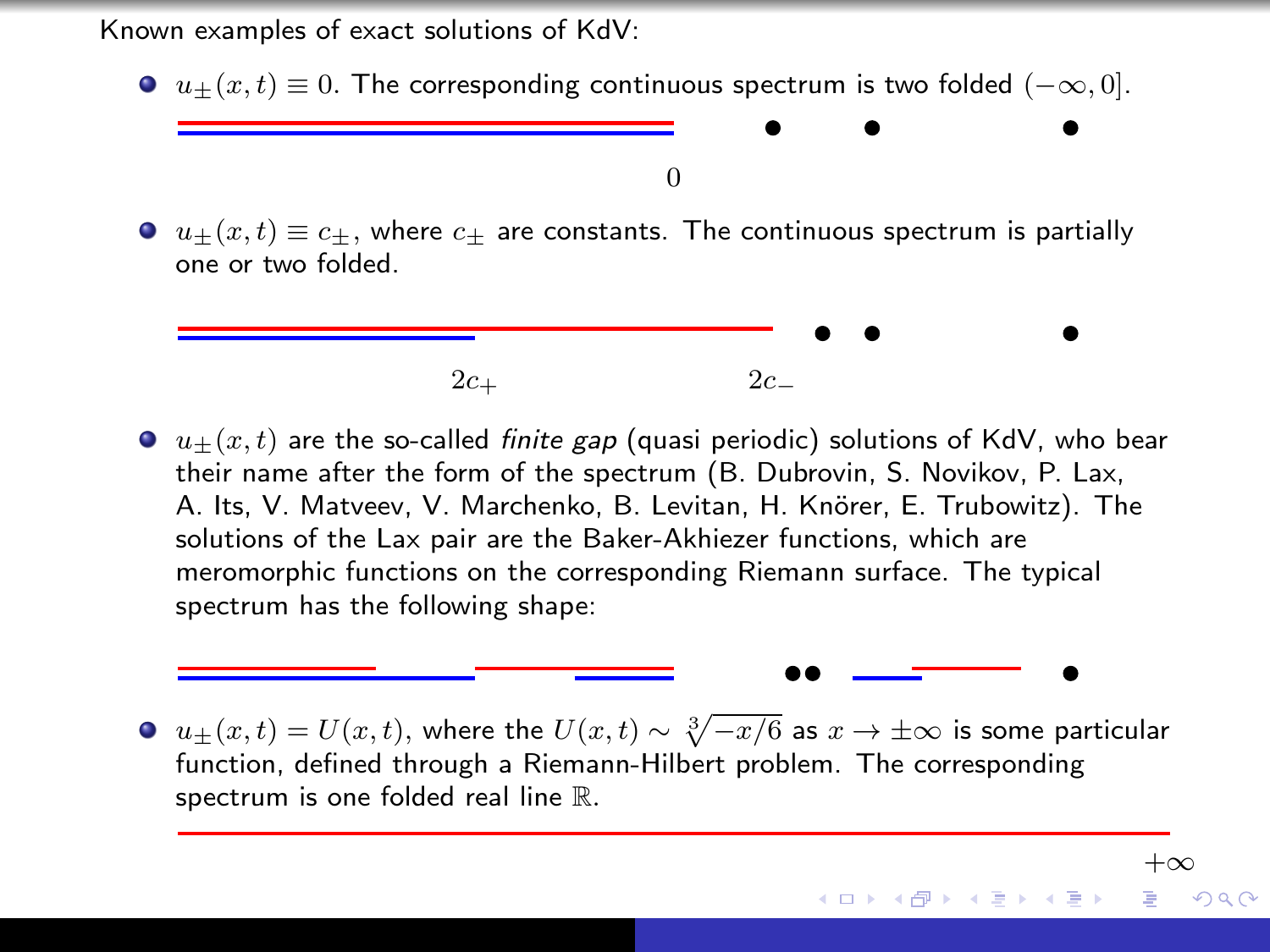Known examples of exact solutions of KdV:

 $u_{\pm}(x, t) \equiv 0$ . The corresponding continuous spectrum is two folded  $(-\infty, 0]$ .

#### 0

 $u_+(x, t) \equiv c_+$ , where  $c_+$  are constants. The continuous spectrum is partially one or two folded.



 $u_{\pm}(x, t)$  are the so-called finite gap (quasi periodic) solutions of KdV, who bear their name after the form of the spectrum (B. Dubrovin, S. Novikov, P. Lax, A. Its, V. Matveev, V. Marchenko, B. Levitan, H. Knörer, E. Trubowitz). The solutions of the Lax pair are the Baker-Akhiezer functions, which are meromorphic functions on the corresponding Riemann surface. The typical spectrum has the following shape:

 $u_\pm(x,t)=U(x,t),$  where the  $U(x,t)\sim \sqrt[3]{-x/6}$  as  $x\to\pm\infty$  is some particular function, defined through a Riemann-Hilbert problem. The corresponding spectrum is one folded real line R.

 $+\infty$ 

∢ロ ▶ (何 ▶ (ヨ ▶ (ヨ ▶

 $QQ$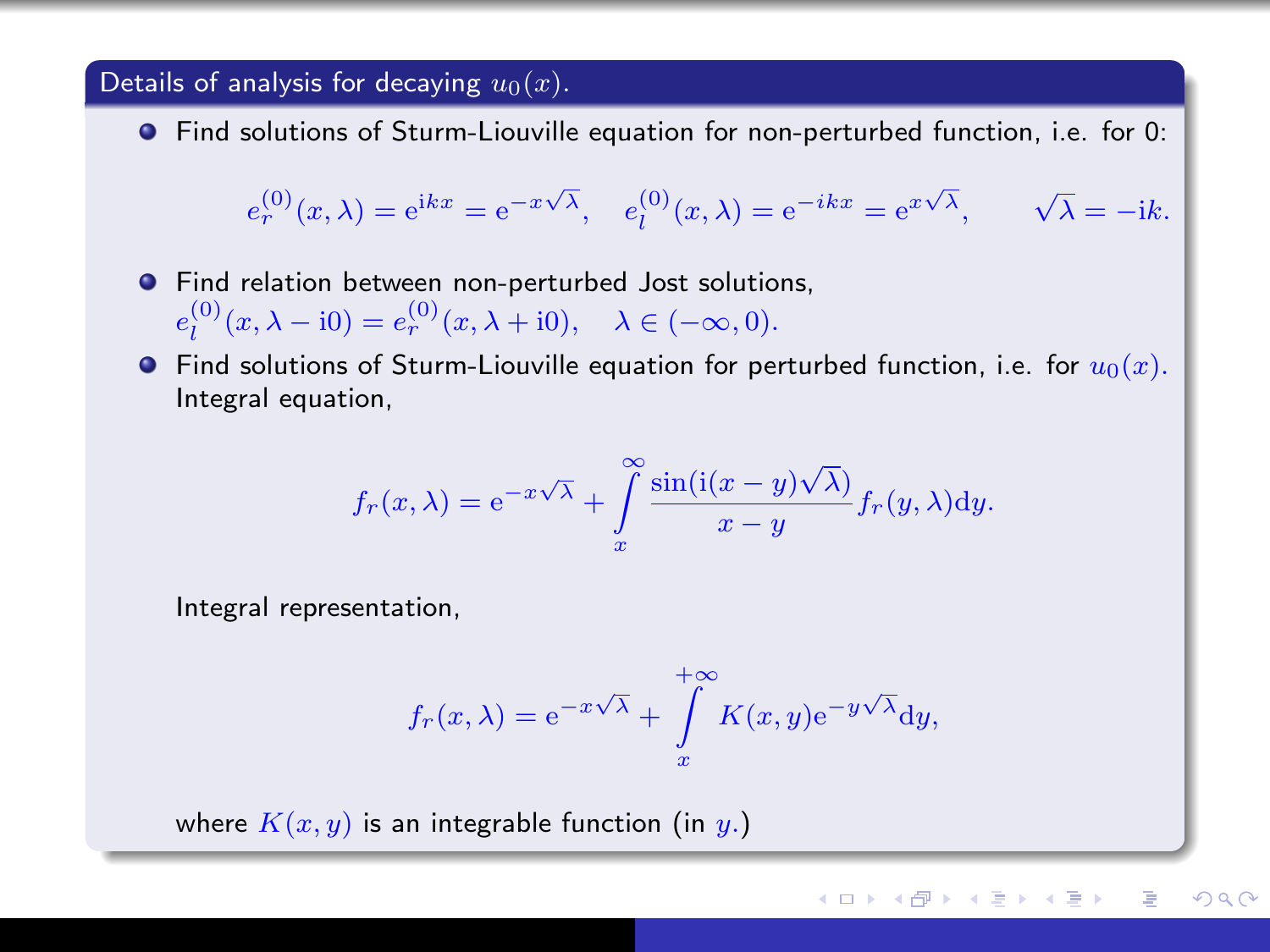#### Details of analysis for decaying  $u_0(x)$ .

Find solutions of Sturm-Liouville equation for non-perturbed function, i.e. for 0:

$$
e_r^{(0)}(x,\lambda) = e^{ikx} = e^{-x\sqrt{\lambda}}, \quad e_l^{(0)}(x,\lambda) = e^{-ikx} = e^{x\sqrt{\lambda}}, \quad \sqrt{\lambda} = -ik.
$$

- **•** Find relation between non-perturbed Jost solutions,  $e_l^{(0)}(x, \lambda - i0) = e_r^{(0)}(x, \lambda + i0), \quad \lambda \in (-\infty, 0).$
- **•** Find solutions of Sturm-Liouville equation for perturbed function, i.e. for  $u_0(x)$ . Integral equation,

$$
f_r(x,\lambda) = e^{-x\sqrt{\lambda}} + \int\limits_x^\infty \frac{\sin(i(x-y)\sqrt{\lambda})}{x-y} f_r(y,\lambda) dy.
$$

Integral representation,

$$
f_r(x, \lambda) = e^{-x\sqrt{\lambda}} + \int_x^{+\infty} K(x, y) e^{-y\sqrt{\lambda}} dy,
$$

where  $K(x, y)$  is an integrable function (in y.)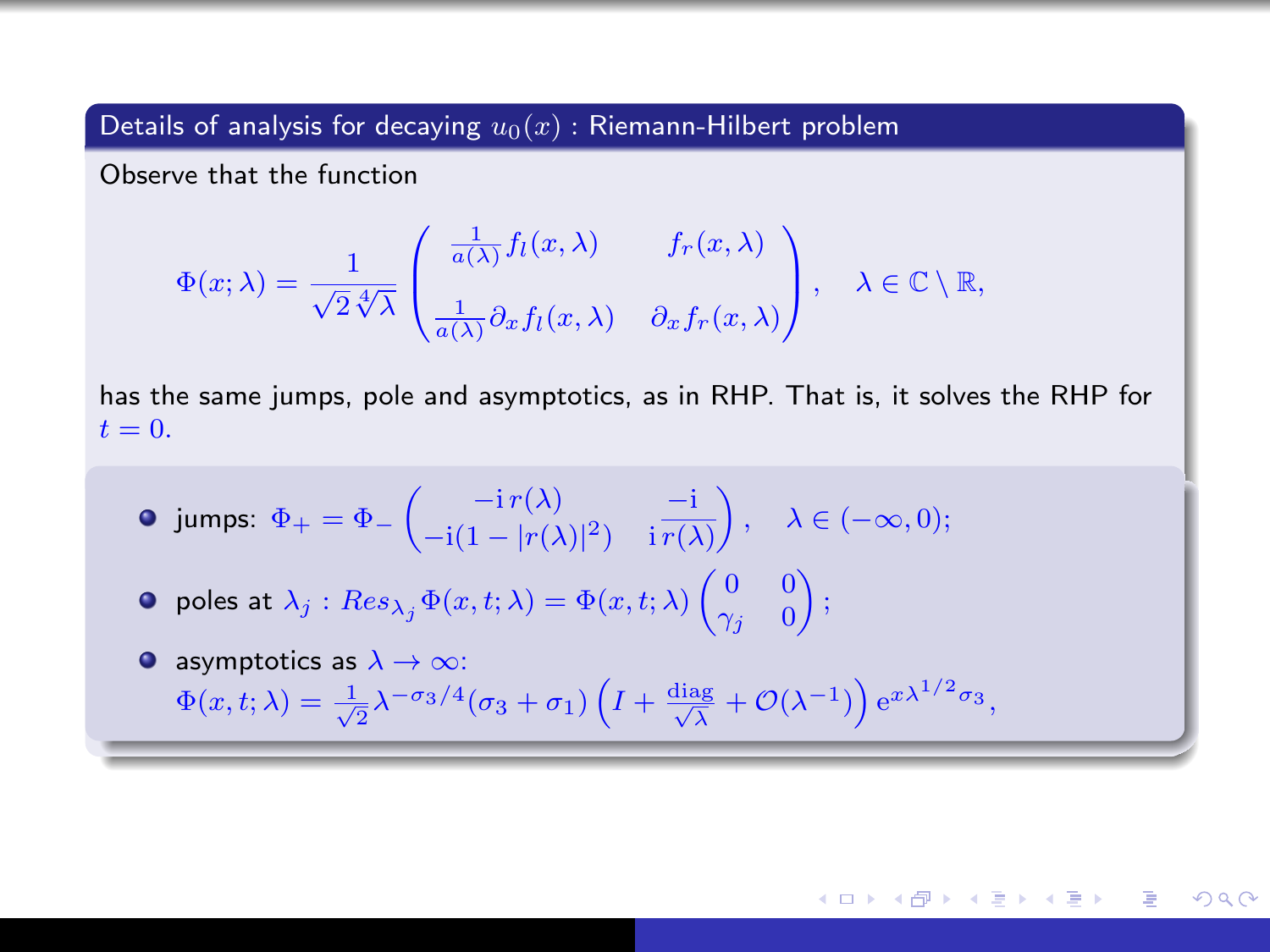Details of analysis for decaying  $u_0(x)$ : Riemann-Hilbert problem

Observe that the function

$$
\Phi(x;\lambda) = \frac{1}{\sqrt{2\sqrt[4]{\lambda}}} \begin{pmatrix} \frac{1}{a(\lambda)} f_l(x,\lambda) & f_r(x,\lambda) \\ \frac{1}{a(\lambda)} \partial_x f_l(x,\lambda) & \partial_x f_r(x,\lambda) \end{pmatrix}, \quad \lambda \in \mathbb{C} \setminus \mathbb{R},
$$

has the same jumps, pole and asymptotics, as in RHP. That is, it solves the RHP for  $t=0$ .

$$
\bullet \text{ jumps: } \Phi_+ = \Phi_-\begin{pmatrix} -\mathrm{i} \, r(\lambda) & -\mathrm{i} \\ -\mathrm{i} (1 - |r(\lambda)|^2) & \mathrm{i} \, \overline{r(\lambda)} \end{pmatrix}, \quad \lambda \in (-\infty, 0);
$$

- poles at  $\lambda_j$  :  $Res_{\lambda_j}\Phi(x,t;\lambda)=\Phi(x,t;\lambda)\begin{pmatrix} 0 & 0 \ \gamma_j & 0 \end{pmatrix}$  $\gamma_j=0$  $\big)$  ;
- asymptotics as  $\lambda \to \infty$ :  $\Phi(x, t; \lambda) = \frac{1}{\sqrt{2}} \lambda^{-\sigma_3/4} (\sigma_3 + \sigma_1) \left( I + \frac{\text{diag}}{\sqrt{\lambda}} + \mathcal{O}(\lambda^{-1}) \right) e^{x \lambda^{1/2} \sigma_3},$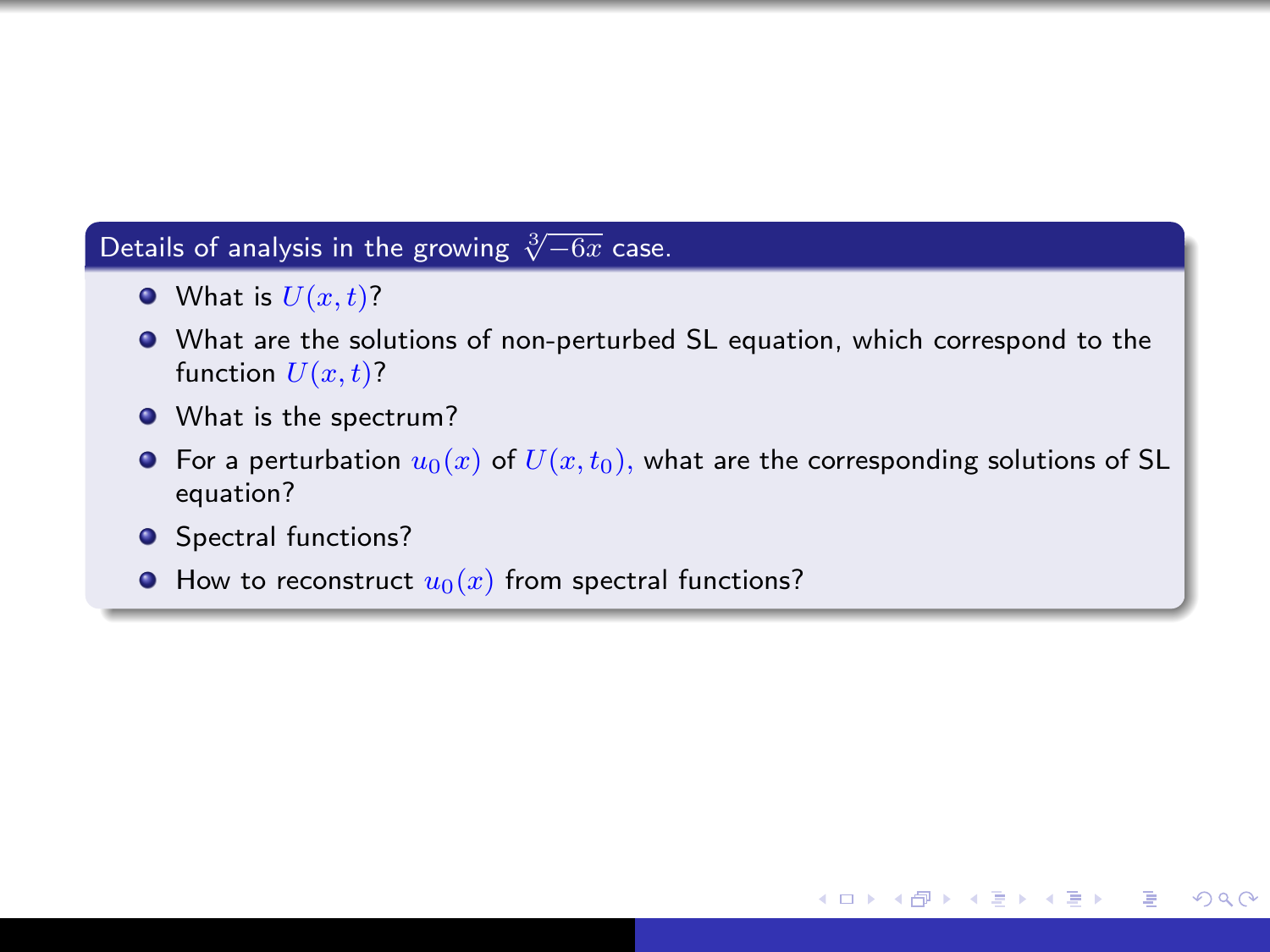## Details of analysis in the growing  $\sqrt[3]{-6x}$  case.

- $\bullet$  What is  $U(x, t)$ ?
- What are the solutions of non-perturbed SL equation, which correspond to the function  $U(x,t)$ ?
- What is the spectrum?
- **•** For a perturbation  $u_0(x)$  of  $U(x, t_0)$ , what are the corresponding solutions of SL equation?

4 17 18

一本 語 下

 $\sim$ 

 $200$ 

- **•** Spectral functions?
- $\bullet$  How to reconstruct  $u_0(x)$  from spectral functions?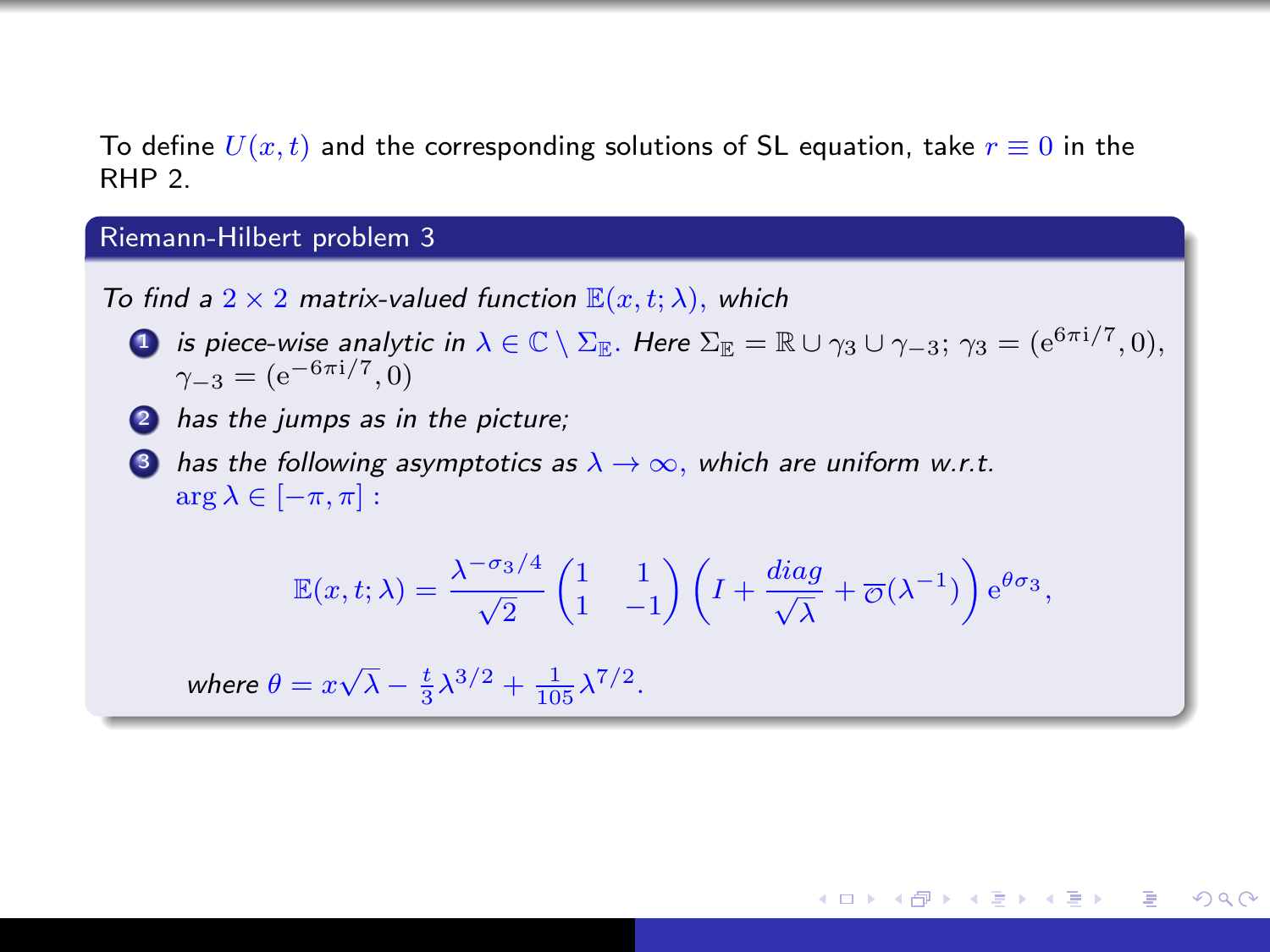To define  $U(x,t)$  and the corresponding solutions of SL equation, take  $r \equiv 0$  in the RHP 2.

## Riemann-Hilbert problem 3

To find a  $2 \times 2$  matrix-valued function  $\mathbb{E}(x, t; \lambda)$ , which

- $1$  is piece-wise analytic in  $\lambda\in\mathbb{C}\setminus\Sigma_\mathbb{E}.$  Here  $\Sigma_\mathbb{E}=\mathbb{R}\cup\gamma_3\cup\gamma_{-3};$   $\gamma_3=(\mathrm{e}^{6\pi\mathrm{i}/7},0),$  $\gamma_{-3} = (e^{-6\pi i/7}, 0)$
- **2** has the jumps as in the picture;
- **3** has the following asymptotics as  $\lambda \to \infty$ , which are uniform w.r.t.  $\arg \lambda \in [-\pi, \pi]$ :

$$
\mathbb{E}(x,t;\lambda) = \frac{\lambda^{-\sigma_3/4}}{\sqrt{2}} \begin{pmatrix} 1 & 1 \\ 1 & -1 \end{pmatrix} \left( I + \frac{diag}{\sqrt{\lambda}} + \overline{\phi}(\lambda^{-1}) \right) e^{\theta \sigma_3},
$$

母 ▶ ヨ ヨ ▶ ヨ ヨ ▶

 $200$ 

where  $\theta = x\sqrt{\lambda} - \frac{t}{3}\lambda^{3/2} + \frac{1}{105}\lambda^{7/2}$ .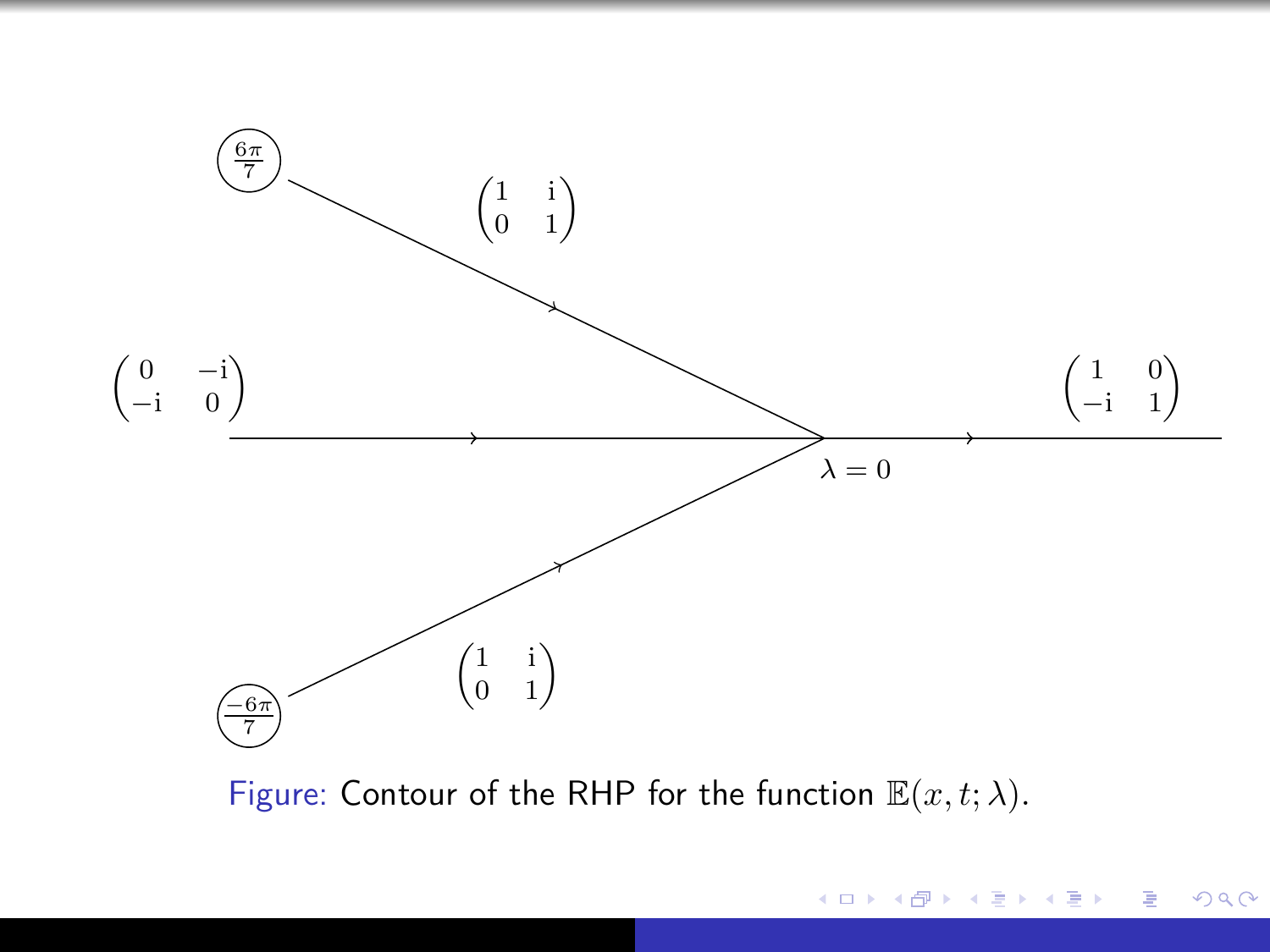

Figure: Contour of the RHP for the function  $\mathbb{E}(x, t; \lambda)$ .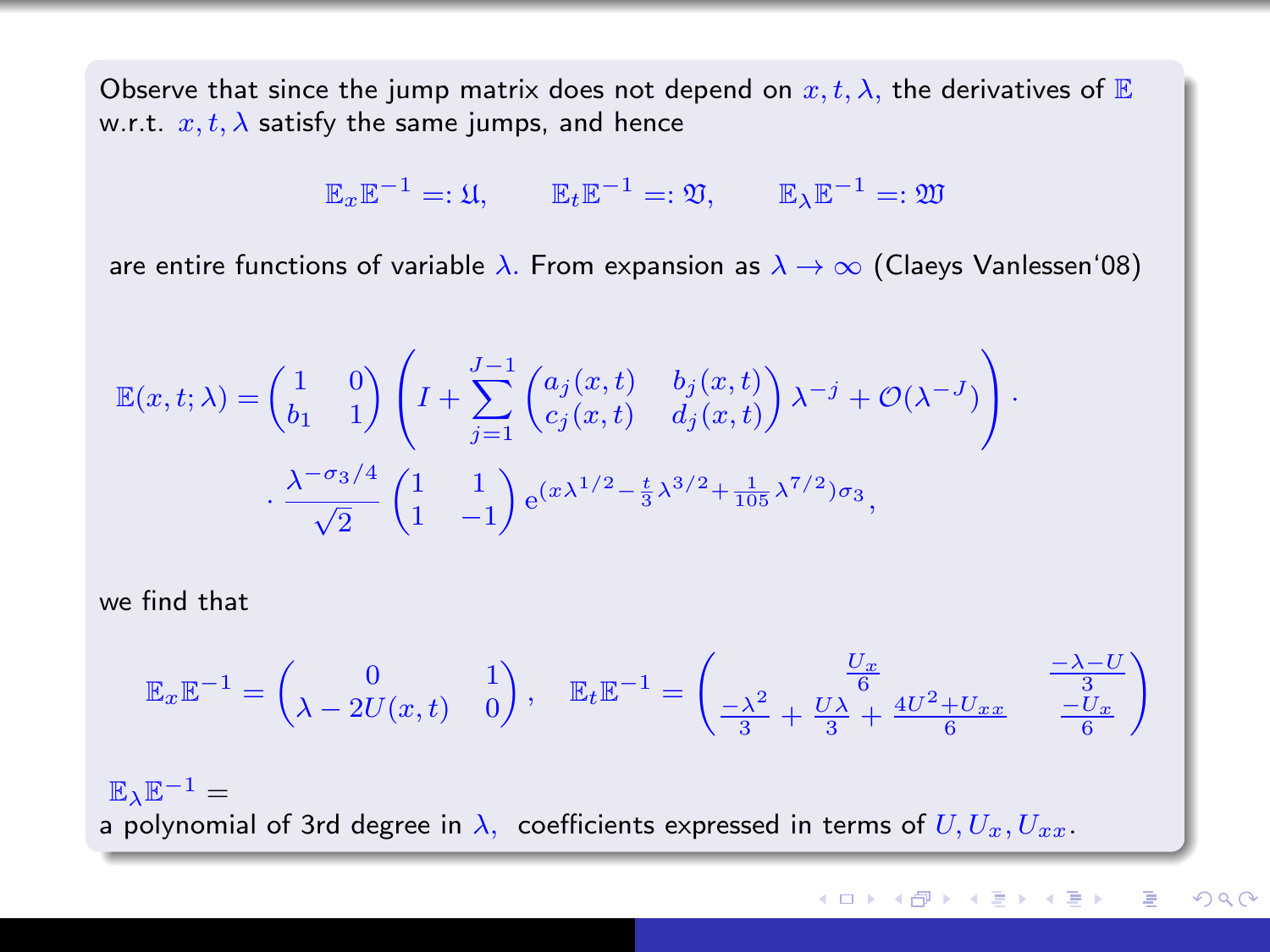Observe that since the jump matrix does not depend on  $x, t, \lambda$ , the derivatives of E w.r.t.  $x, t, \lambda$  satisfy the same jumps, and hence

$$
\mathbb{E}_x \mathbb{E}^{-1} = \mathfrak{U}, \qquad \mathbb{E}_t \mathbb{E}^{-1} = \mathfrak{V}, \qquad \mathbb{E}_\lambda \mathbb{E}^{-1} = \mathfrak{W}
$$

are entire functions of variable  $\lambda$ . From expansion as  $\lambda \to \infty$  (Claeys Vanlessen'08)

$$
\mathbb{E}(x,t;\lambda) = \begin{pmatrix} 1 & 0 \\ b_1 & 1 \end{pmatrix} \left( I + \sum_{j=1}^{J-1} \begin{pmatrix} a_j(x,t) & b_j(x,t) \\ c_j(x,t) & d_j(x,t) \end{pmatrix} \lambda^{-j} + \mathcal{O}(\lambda^{-J}) \right) \cdot \frac{\lambda^{-\sigma_3/4}}{\sqrt{2}} \begin{pmatrix} 1 & 1 \\ 1 & -1 \end{pmatrix} e^{(x\lambda^{1/2} - \frac{t}{3}\lambda^{3/2} + \frac{1}{105}\lambda^{7/2})\sigma_3},
$$

we find that

$$
\mathbb{E}_x \mathbb{E}^{-1} = \begin{pmatrix} 0 & 1 \\ \lambda - 2U(x, t) & 0 \end{pmatrix}, \quad \mathbb{E}_t \mathbb{E}^{-1} = \begin{pmatrix} \frac{U_x}{6} & \frac{-\lambda - U}{3} \\ \frac{-\lambda^2}{3} + \frac{U\lambda}{3} + \frac{4U^2 + U_{xx}}{6} & \frac{-U_x}{6} \end{pmatrix}
$$

 $\mathbb{E} \cdot \mathbb{E}^{-1} =$ a polynomial of 3rd degree in  $\lambda$ , coefficients expressed in terms of  $U, U_x, U_{xx}$ .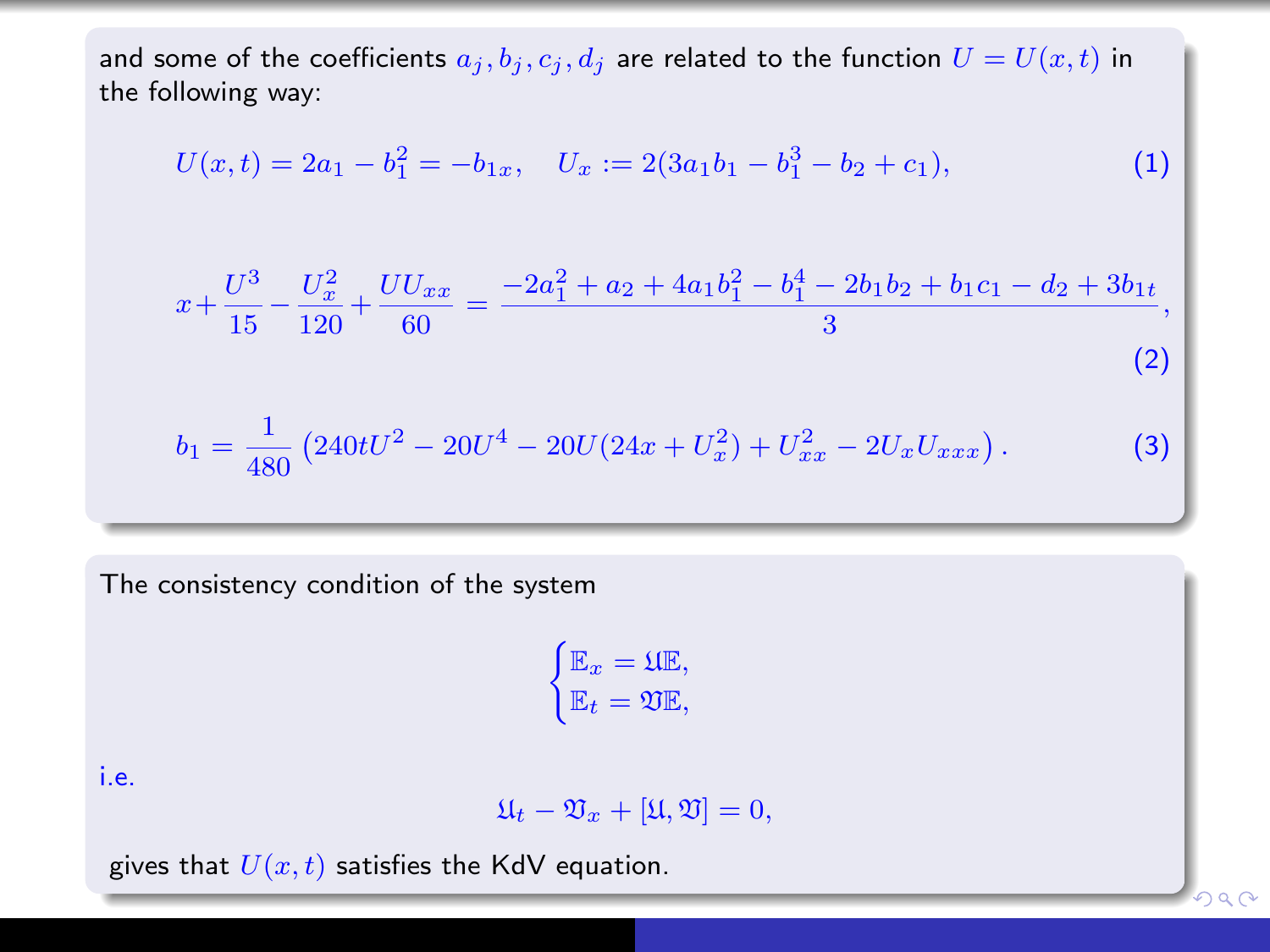and some of the coefficients  $a_j, b_j, c_j, d_j$  are related to the function  $U = U(x, t)$  in the following way:

$$
U(x,t) = 2a_1 - b_1^2 = -b_{1x}, \quad U_x := 2(3a_1b_1 - b_1^3 - b_2 + c_1), \tag{1}
$$

$$
x + \frac{U^3}{15} - \frac{U_x^2}{120} + \frac{UU_{xx}}{60} = \frac{-2a_1^2 + a_2 + 4a_1b_1^2 - b_1^4 - 2b_1b_2 + b_1c_1 - d_2 + 3b_{1t}}{3},
$$
\n(2)

$$
b_1 = \frac{1}{480} \left( 240tU^2 - 20U^4 - 20U(24x + U_x^2) + U_{xx}^2 - 2U_xU_{xxx} \right). \tag{3}
$$

The consistency condition of the system

$$
\begin{cases} \mathbb{E}_x = \mathfrak{U}\mathbb{E}, \\ \mathbb{E}_t = \mathfrak{V}\mathbb{E}, \end{cases}
$$

i.e.

$$
\mathfrak{U}_t - \mathfrak{V}_x + [\mathfrak{U}, \mathfrak{V}] = 0,
$$

 $2990$ 

gives that  $U(x, t)$  satisfies the KdV equation.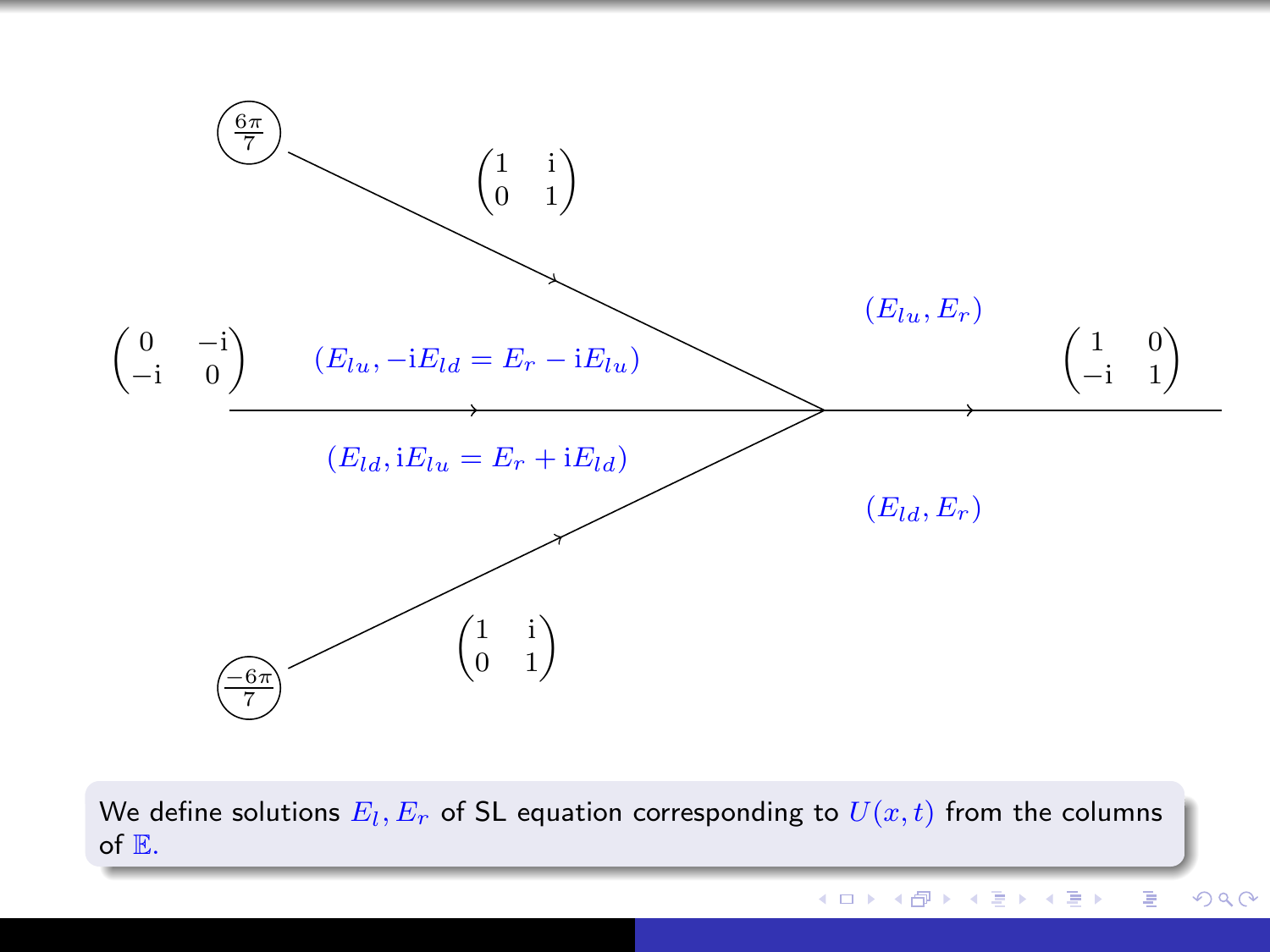

We define solutions  $E_l,E_r$  of SL equation corresponding to  $U(x,t)$  from the columns of E.

メロト メ部 トメ 君 トメ 君 ト

重

つくへ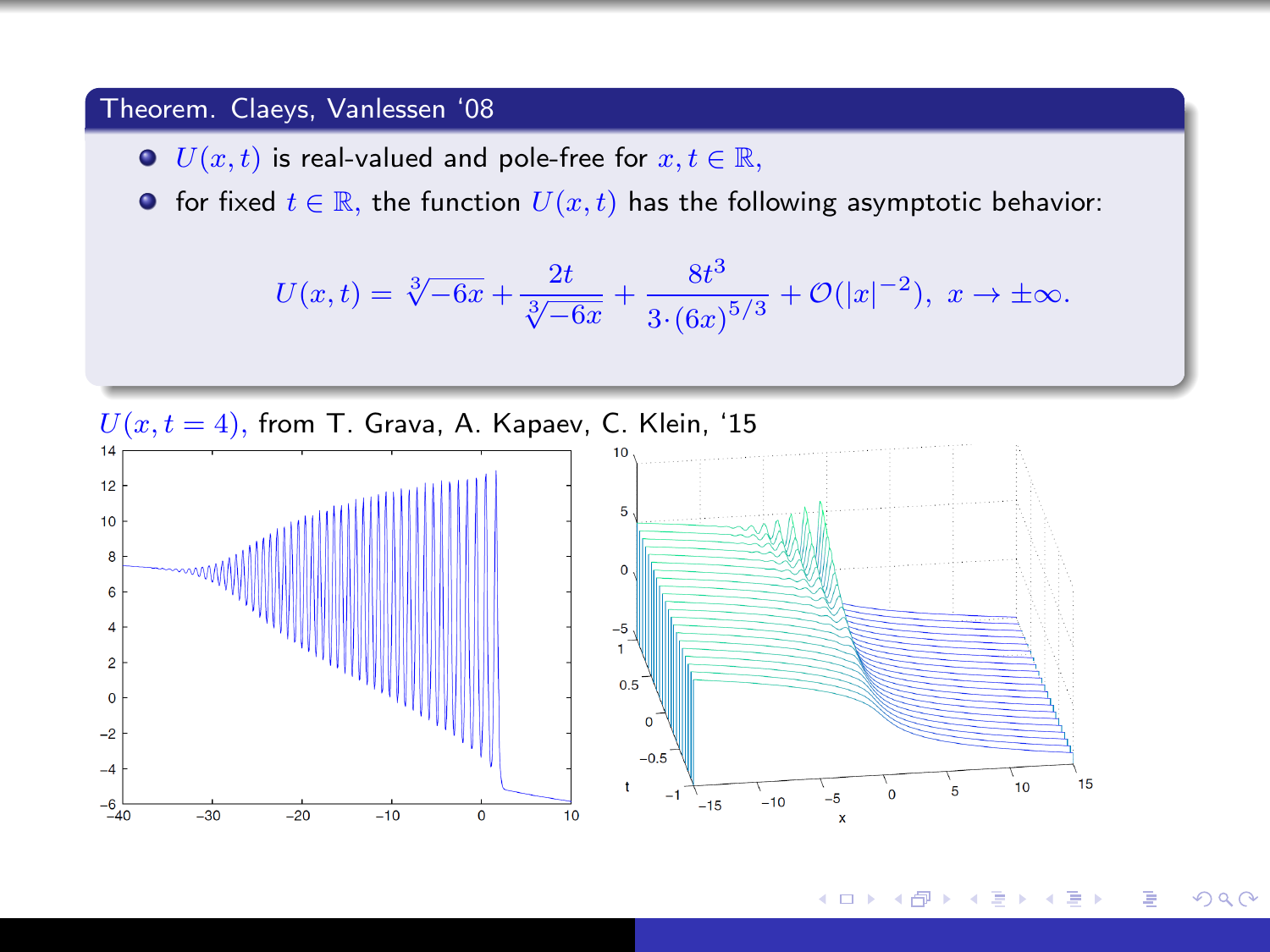#### Theorem. Claeys, Vanlessen '08

- $\bullet$   $U(x, t)$  is real-valued and pole-free for  $x, t \in \mathbb{R}$ ,
- **•** for fixed  $t \in \mathbb{R}$ , the function  $U(x, t)$  has the following asymptotic behavior:

$$
U(x,t) = \sqrt[3]{-6x} + \frac{2t}{\sqrt[3]{-6x}} + \frac{8t^3}{3 \cdot (6x)^{5/3}} + \mathcal{O}(|x|^{-2}), \ x \to \pm \infty.
$$



つくへ 4日) ← 中 ∍ B  $\rightarrow$ 14 ×.  $\sim$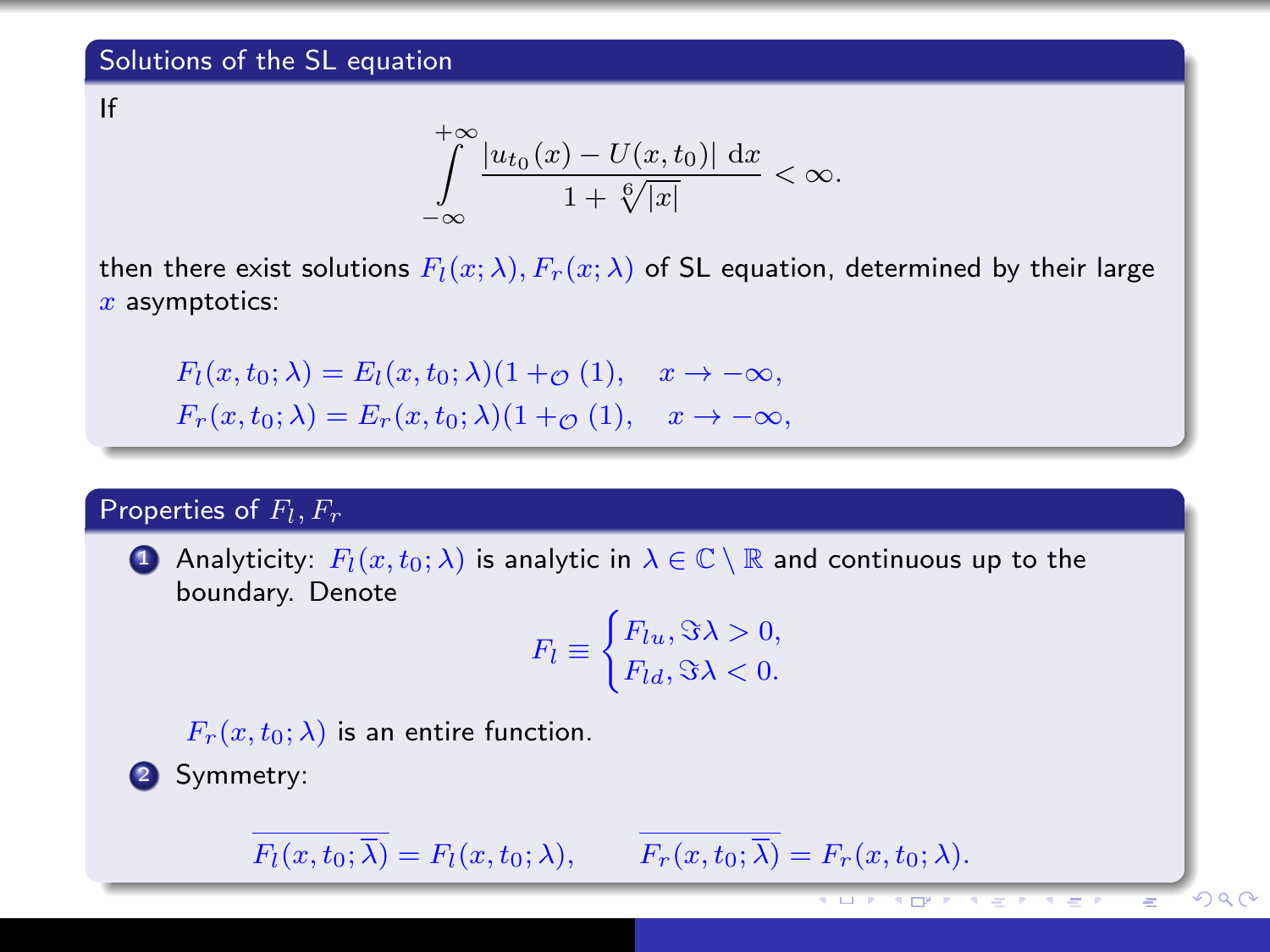If

$$
\int_{-\infty}^{+\infty}\frac{|u_{t_0}(x)-U(x,t_0)|\,\mathrm{d}x}{1+\sqrt[6]{|x|}}<\infty.
$$

then there exist solutions  $F_l(x; \lambda)$ ,  $F_r(x; \lambda)$  of SL equation, determined by their large  $x$  asymptotics:

 $F_l(x, t_0; \lambda) = E_l(x, t_0; \lambda)(1 + \mathcal{O}(1)), \quad x \to -\infty,$  $F_r(x, t_0; \lambda) = E_r(x, t_0; \lambda) (1 + \varphi(1)), \quad x \to -\infty,$ 

## Properties of  $F_l, F_r$

**1** Analyticity:  $F_l(x, t_0; \lambda)$  is analytic in  $\lambda \in \mathbb{C} \setminus \mathbb{R}$  and continuous up to the boundary. Denote

$$
F_l \equiv \begin{cases} F_{lu}, \Im \lambda > 0, \\ F_{ld}, \Im \lambda < 0. \end{cases}
$$

 $2990$ 

 $F_r(x, t_0; \lambda)$  is an entire function.

<sup>2</sup> Symmetry:

 $\overline{F_r(x, t_0; \overline{\lambda})} = F_l(x, t_0; \lambda), \qquad \overline{F_r(x, t_0; \overline{\lambda})} = F_r(x, t_0; \lambda).$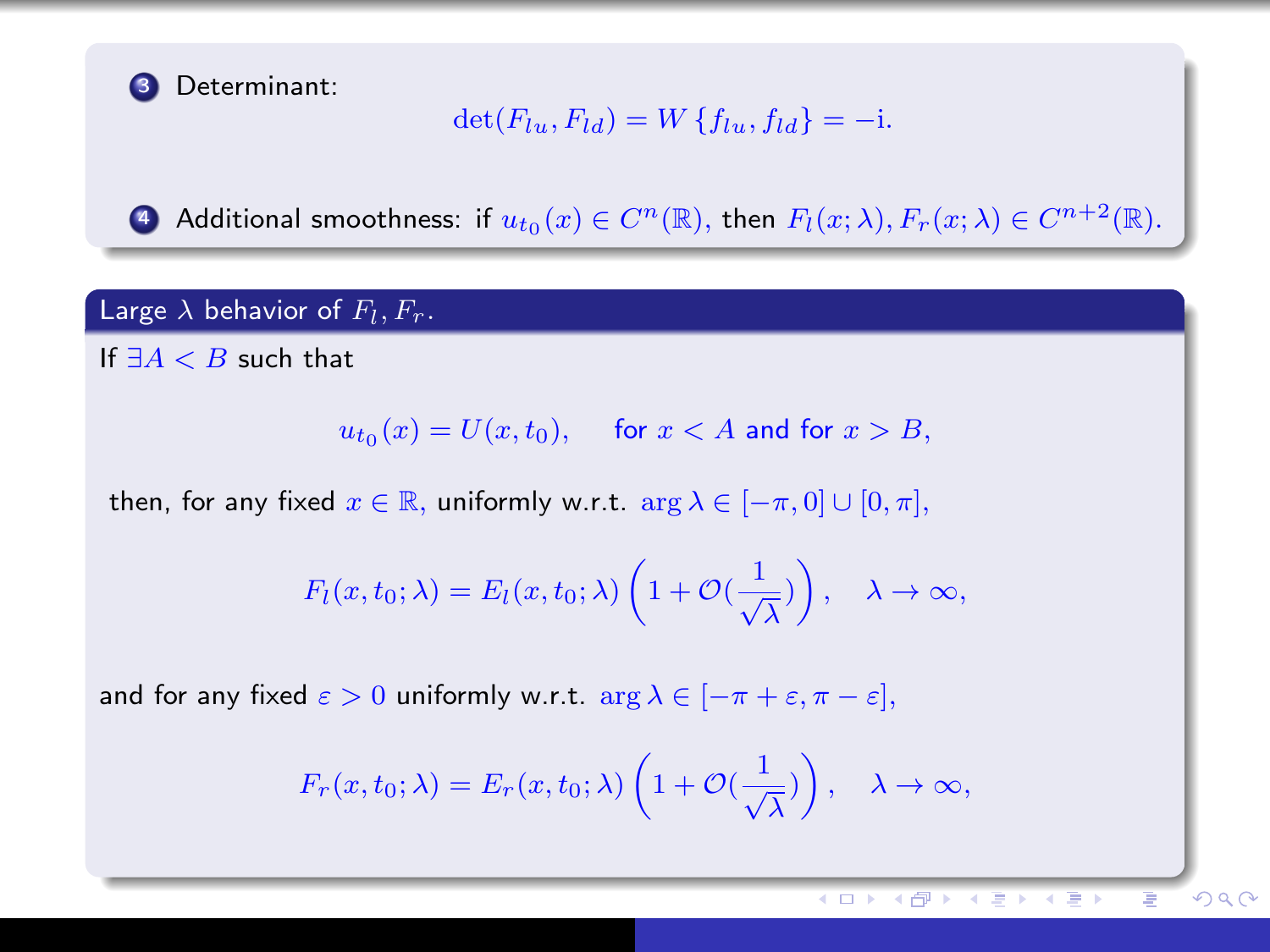

## $\det(F_{lu}, F_{ld}) = W \{f_{lu}, f_{ld}\} = -i.$

**4** Additional smoothness: if  $u_{t_0}(x) \in C^n(\mathbb{R})$ , then  $F_l(x; \lambda), F_r(x; \lambda) \in C^{n+2}(\mathbb{R})$ .

#### Large  $\lambda$  behavior of  $F_l, F_r.$

If  $\exists A < B$  such that

 $u_{t_0}(x) = U(x,t_0), \quad \text{ for } x < A \text{ and for } x > B,$ 

then, for any fixed  $x \in \mathbb{R}$ , uniformly w.r.t.  $\arg \lambda \in [-\pi, 0] \cup [0, \pi]$ ,

$$
F_l(x, t_0; \lambda) = E_l(x, t_0; \lambda) \left( 1 + \mathcal{O}(\frac{1}{\sqrt{\lambda}}) \right), \quad \lambda \to \infty,
$$

and for any fixed  $\varepsilon > 0$  uniformly w.r.t.  $\arg \lambda \in [-\pi + \varepsilon, \pi - \varepsilon],$ 

$$
F_r(x, t_0; \lambda) = E_r(x, t_0; \lambda) \left( 1 + \mathcal{O}(\frac{1}{\sqrt{\lambda}}) \right), \quad \lambda \to \infty,
$$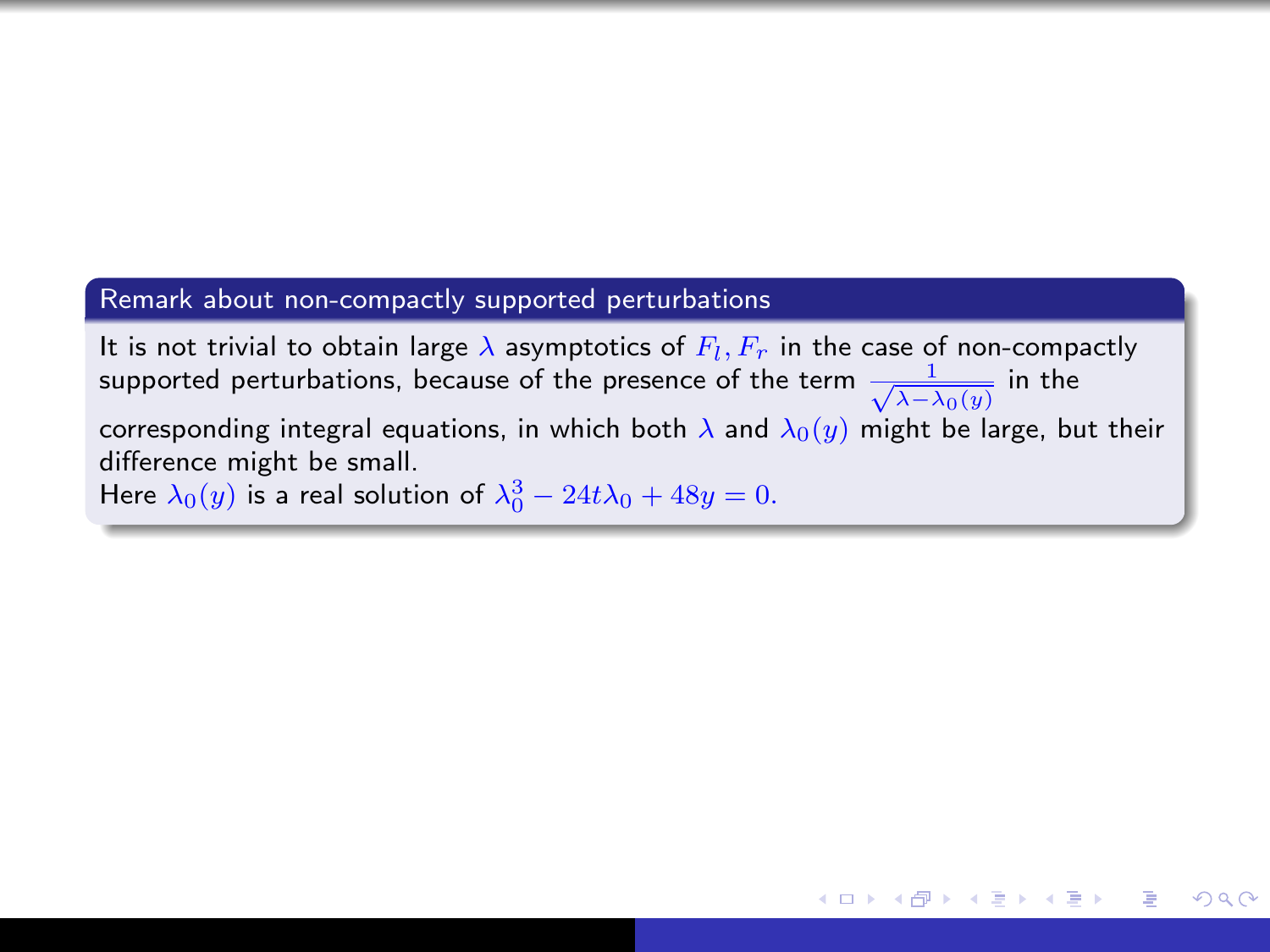## Remark about non-compactly supported perturbations

It is not trivial to obtain large  $\lambda$  asymptotics of  $F_l,F_r$  in the case of non-compactly supported perturbations, because of the presence of the term  $\frac{1}{\sqrt{\lambda-\lambda_0(y)}}$  in the corresponding integral equations, in which both  $\lambda$  and  $\lambda_0(y)$  might be large, but their difference might be small. Here  $\lambda_0(y)$  is a real solution of  $\lambda_0^3 - 24t\lambda_0 + 48y = 0$ .

*向* ▶ ( ヨ ) ( ヨ )

 $200$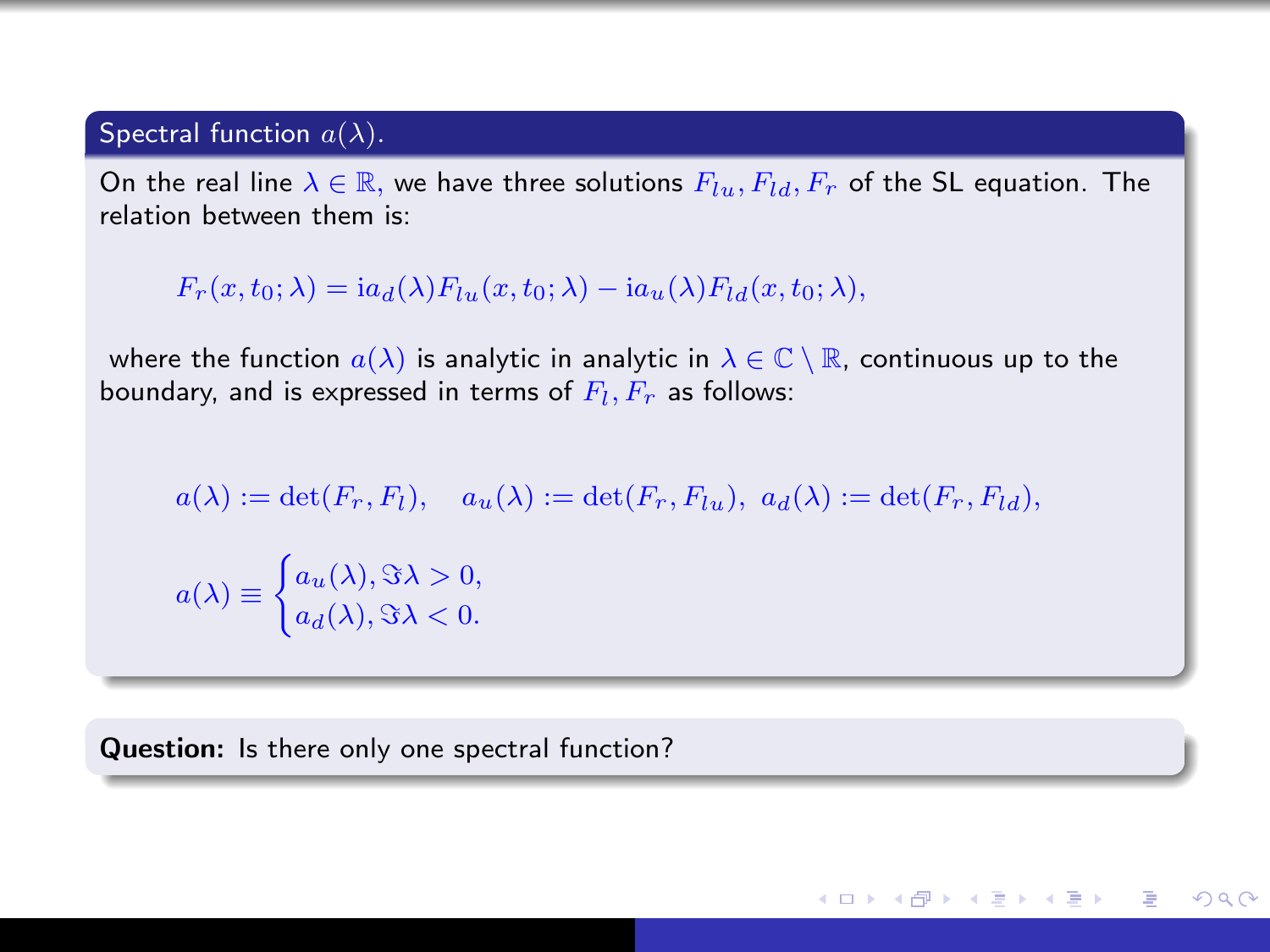## Spectral function  $a(\lambda)$ .

On the real line  $\lambda \in \mathbb{R}$ , we have three solutions  $F_{lu}, F_{ld}, F_r$  of the SL equation. The relation between them is:

$$
F_r(x, t_0; \lambda) = ia_d(\lambda) F_{lu}(x, t_0; \lambda) - ia_u(\lambda) F_{ld}(x, t_0; \lambda),
$$

where the function  $a(\lambda)$  is analytic in analytic in  $\lambda \in \mathbb{C} \setminus \mathbb{R}$ , continuous up to the boundary, and is expressed in terms of  $F_l,F_r$  as follows:

$$
a(\lambda) := \det(F_r, F_l), \quad a_u(\lambda) := \det(F_r, F_{lu}), \ a_d(\lambda) := \det(F_r, F_{ld}),
$$

$$
a(\lambda) \equiv \begin{cases} a_u(\lambda), \Im \lambda > 0, \\ a_d(\lambda), \Im \lambda < 0. \end{cases}
$$

∢ロ ▶ (何 ▶ (ヨ ▶ (ヨ ▶

 $200$ 

Question: Is there only one spectral function?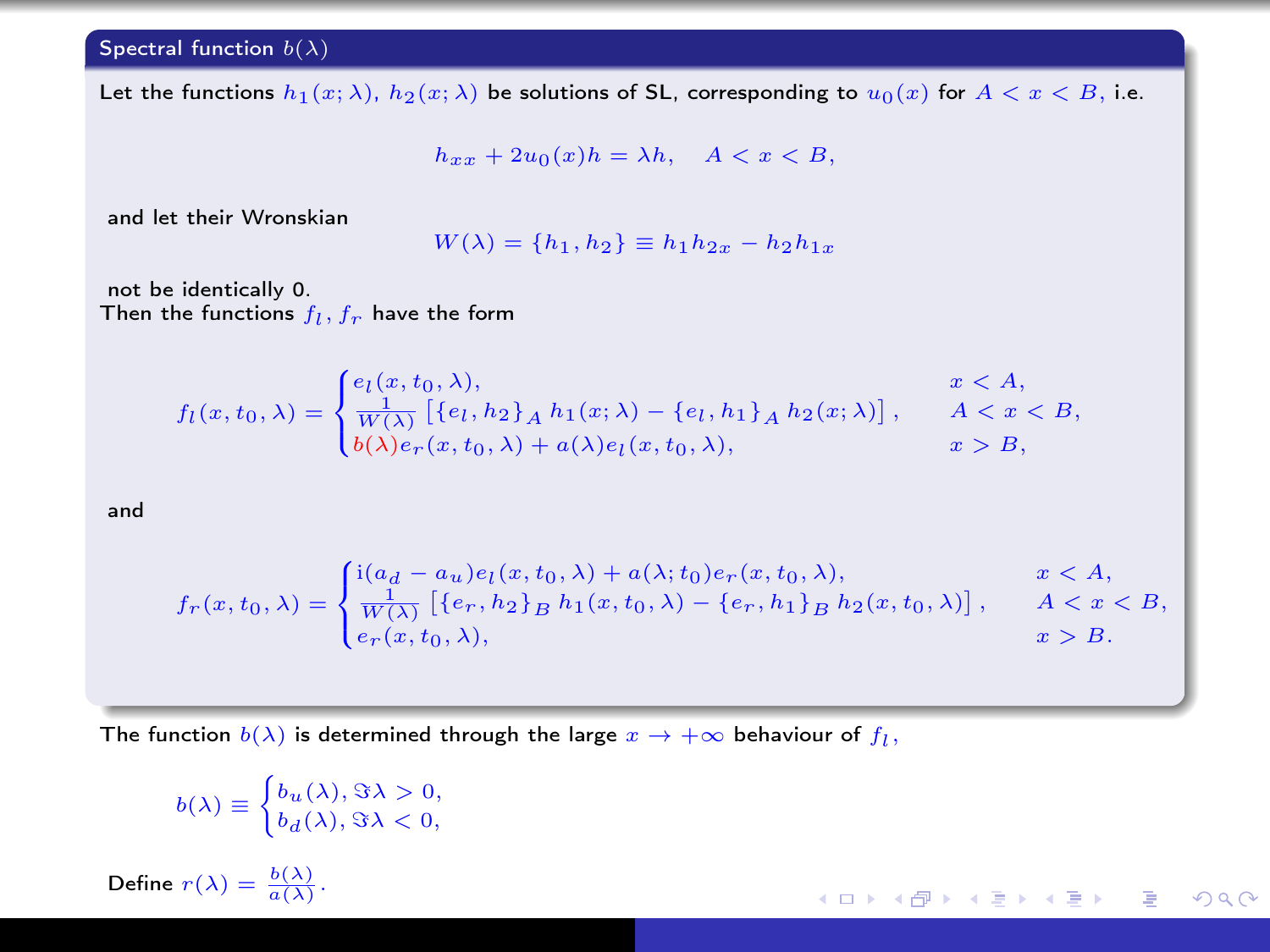#### Spectral function  $b(\lambda)$

Let the functions  $h_1(x; \lambda)$ ,  $h_2(x; \lambda)$  be solutions of SL, corresponding to  $u_0(x)$  for  $A < x < B$ , i.e.

$$
h_{xx} + 2u_0(x)h = \lambda h, \quad A < x < B,
$$

and let their Wronskian

$$
W(\lambda) = \{h_1, h_2\} \equiv h_1 h_{2x} - h_2 h_{1x}
$$

not be identically 0. Then the functions  $f_l, f_r$  have the form

$$
f_l(x, t_0, \lambda) = \begin{cases} e_l(x, t_0, \lambda), & x < A, \\ \frac{1}{W(\lambda)} \left[ \{e_l, h_2\}_A h_1(x; \lambda) - \{e_l, h_1\}_A h_2(x; \lambda) \right], & A < x < B, \\ b(\lambda) e_r(x, t_0, \lambda) + a(\lambda) e_l(x, t_0, \lambda), & x > B, \end{cases}
$$

and

$$
f_r(x, t_0, \lambda) = \begin{cases} \n\text{i}(a_d - a_u) e_l(x, t_0, \lambda) + a(\lambda; t_0) e_r(x, t_0, \lambda), & x < A, \\
\frac{1}{W(\lambda)} \left[ \{e_r, h_2\}_B h_1(x, t_0, \lambda) - \{e_r, h_1\}_B h_2(x, t_0, \lambda) \right], & x < A, \\
e_r(x, t_0, \lambda), & x > B.\n\end{cases}
$$

K ロ ▶ K @ ▶ K 경 ▶ K 경 ▶ X 경

 $QQ$ 

The function  $b(\lambda)$  is determined through the large  $x\to +\infty$  behaviour of  $f_l,$ 

$$
b(\lambda) \equiv \begin{cases} b_u(\lambda), \Im \lambda > 0, \\ b_d(\lambda), \Im \lambda < 0, \end{cases}
$$

Define  $r(\lambda) = \frac{b(\lambda)}{a(\lambda)}$ .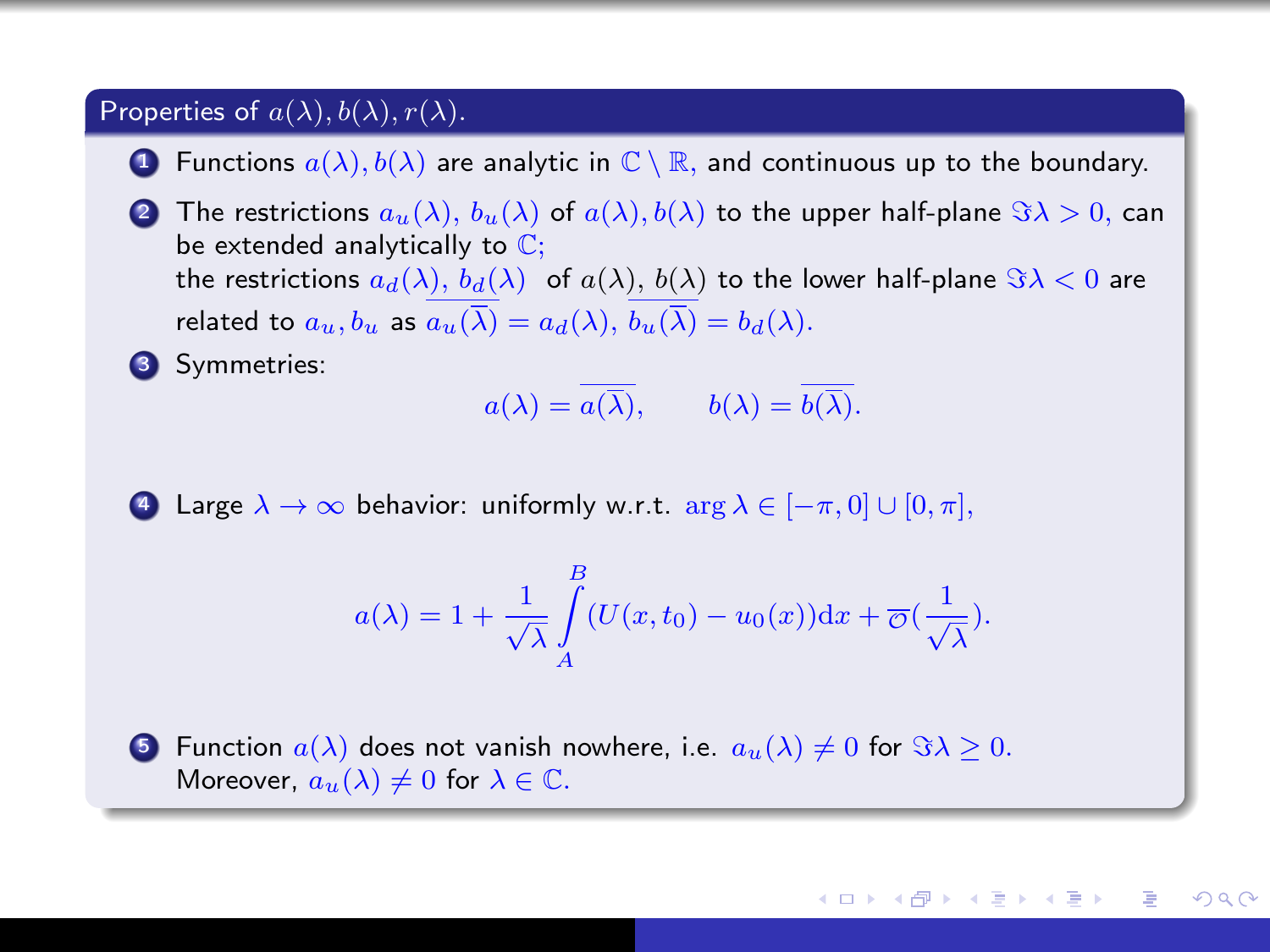#### Properties of  $a(\lambda)$ ,  $b(\lambda)$ ,  $r(\lambda)$ .

- **1** Functions  $a(\lambda), b(\lambda)$  are analytic in  $\mathbb{C} \setminus \mathbb{R}$ , and continuous up to the boundary.
- 2 The restrictions  $a_n(\lambda)$ ,  $b_n(\lambda)$  of  $a(\lambda)$ ,  $b(\lambda)$  to the upper half-plane  $\Im \lambda > 0$ , can be extended analytically to  $\mathbb{C}$ ; the restrictions  $a_d(\lambda)$ ,  $b_d(\lambda)$  of  $a(\lambda)$ ,  $b(\lambda)$  to the lower half-plane  $\Im \lambda < 0$  are related to  $a_u, b_u$  as  $a_u(\overline{\lambda}) = a_d(\lambda), b_u(\overline{\lambda}) = b_d(\lambda)$ .

**3** Symmetries:

$$
a(\lambda) = \overline{a(\overline{\lambda})}, \qquad b(\lambda) = \overline{b(\overline{\lambda})}.
$$

4 Large  $\lambda \to \infty$  behavior: uniformly w.r.t.  $\arg \lambda \in [-\pi, 0] \cup [0, \pi]$ ,

$$
a(\lambda) = 1 + \frac{1}{\sqrt{\lambda}} \int_{A}^{B} (U(x, t_0) - u_0(x)) \mathrm{d}x + \overline{\mathcal{O}}\left(\frac{1}{\sqrt{\lambda}}\right).
$$

**5** Function  $a(\lambda)$  does not vanish nowhere, i.e.  $a_u(\lambda) \neq 0$  for  $\Im \lambda > 0$ . Moreover,  $a_u(\lambda) \neq 0$  for  $\lambda \in \mathbb{C}$ .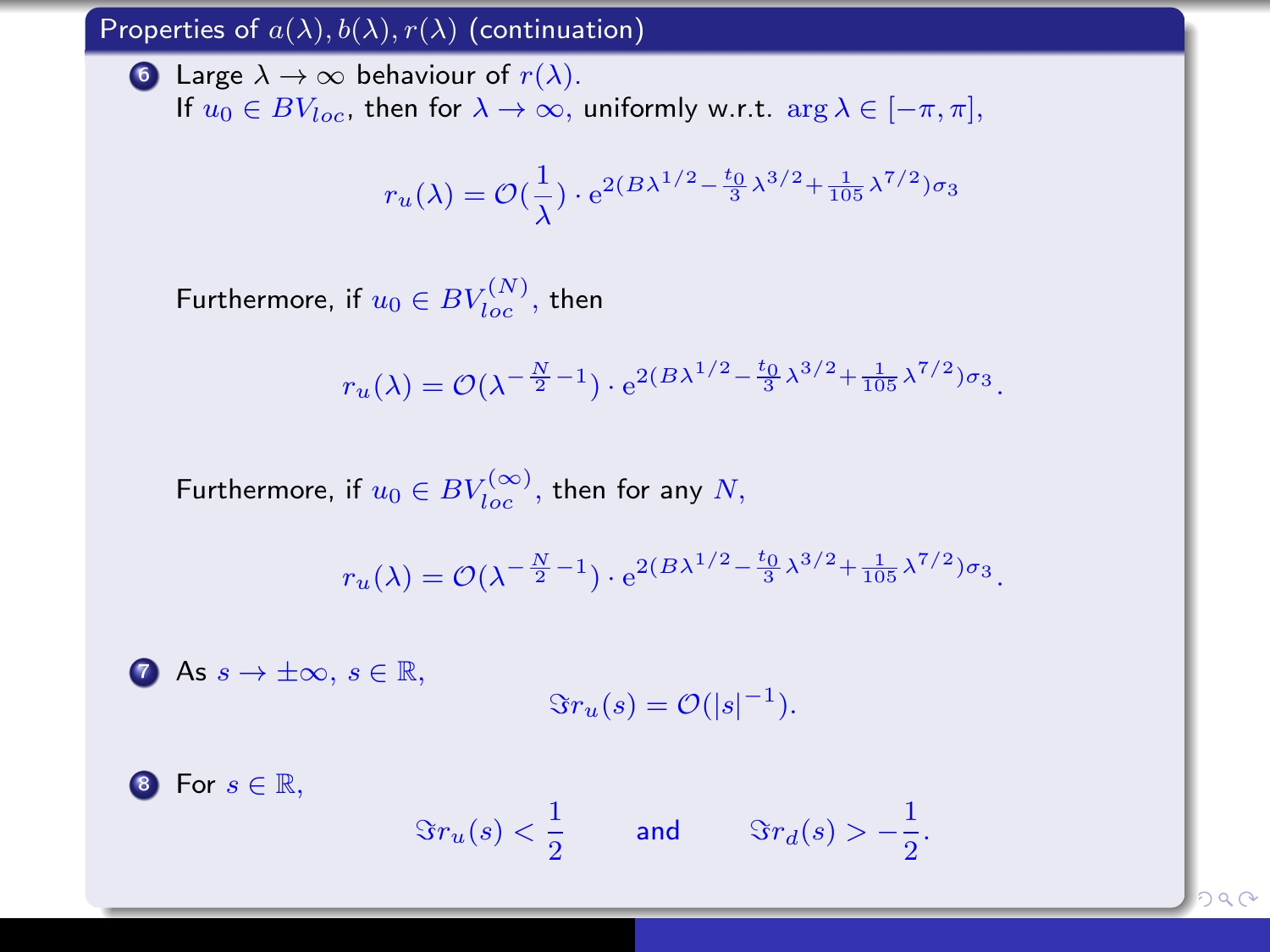#### Properties of  $a(\lambda)$ ,  $b(\lambda)$ ,  $r(\lambda)$  (continuation)

**6** Large  $\lambda \to \infty$  behaviour of  $r(\lambda)$ . If  $u_0 \in BV_{loc}$ , then for  $\lambda \to \infty$ , uniformly w.r.t.  $\arg \lambda \in [-\pi, \pi]$ ,

$$
r_u(\lambda) = \mathcal{O}\left(\frac{1}{\lambda}\right) \cdot e^{2(B\lambda^{1/2} - \frac{t_0}{3}\lambda^{3/2} + \frac{1}{105}\lambda^{7/2})\sigma_3}
$$

Furthermore, if  $u_0\in BV_{loc}^{(N)},$  then

$$
r_u(\lambda) = \mathcal{O}(\lambda^{-\frac{N}{2}-1}) \cdot e^{2(B\lambda^{1/2} - \frac{t_0}{3}\lambda^{3/2} + \frac{1}{105}\lambda^{7/2})\sigma_3}.
$$

Furthermore, if  $u_0\in BV_{loc}^{(\infty)},$  then for any  $N,$ 

$$
r_u(\lambda) = \mathcal{O}(\lambda^{-\frac{N}{2}-1}) \cdot e^{2(B\lambda^{1/2} - \frac{t_0}{3}\lambda^{3/2} + \frac{1}{105}\lambda^{7/2})\sigma_3}.
$$

**2** As  $s \to \pm \infty$ ,  $s \in \mathbb{R}$ ,  $\Im r_u(s) = \mathcal{O}(|s|^{-1}).$ 

8 For  $s \in \mathbb{R}$ ,  $\Im r_u(s) < \frac{1}{2}$  $\frac{1}{2}$  and  $\Im r_d(s) > -\frac{1}{2}$  $\frac{1}{2}$ .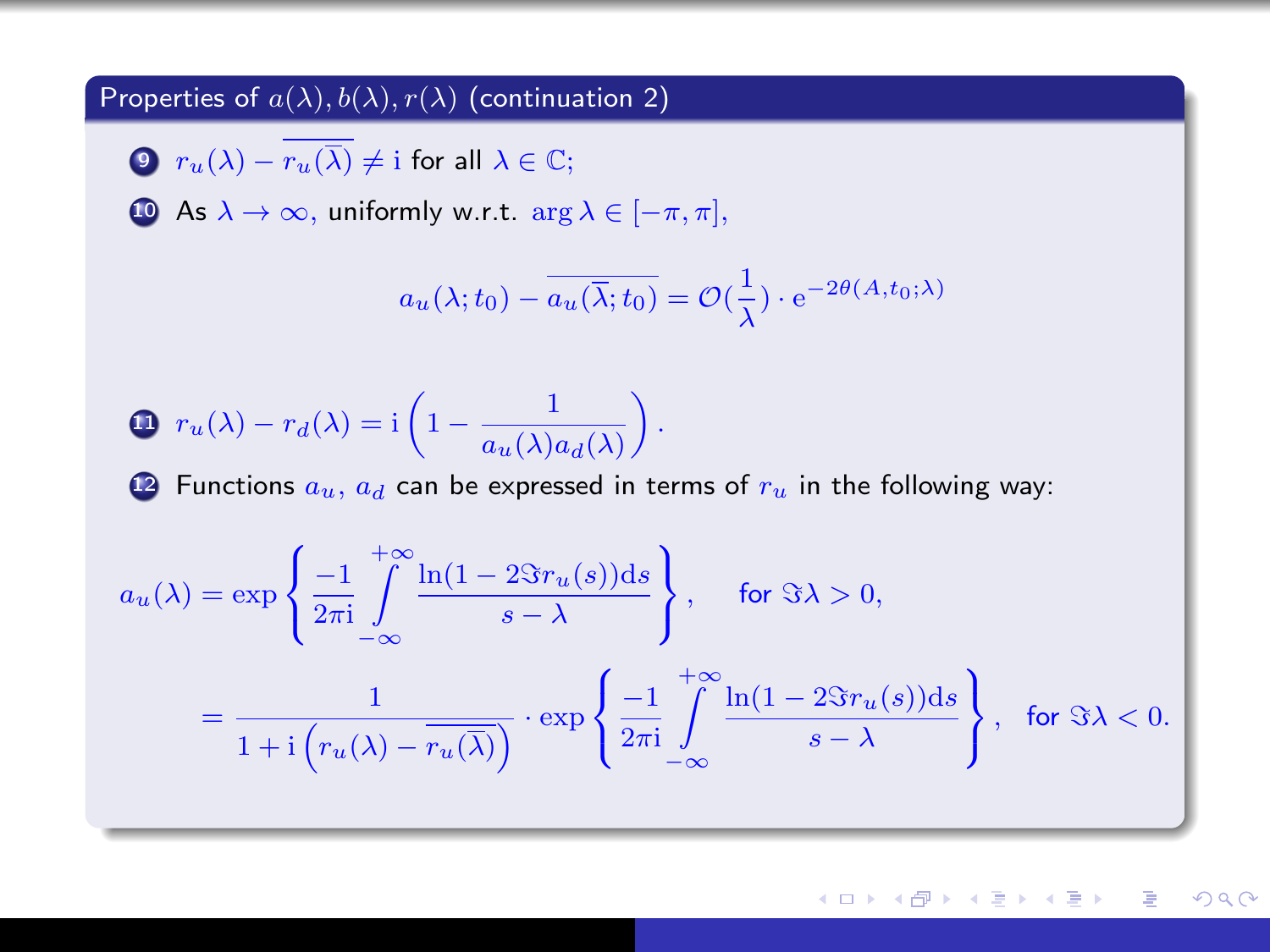#### Properties of  $a(\lambda)$ ,  $b(\lambda)$ ,  $r(\lambda)$  (continuation 2)

**9**  $r_u(\lambda) - \overline{r_u(\overline{\lambda})} \neq i$  for all  $\lambda \in \mathbb{C}$ ;

**10** As  $\lambda \to \infty$ , uniformly w.r.t.  $\arg \lambda \in [-\pi, \pi]$ ,

$$
a_u(\lambda; t_0) - \overline{a_u(\overline{\lambda}; t_0)} = \mathcal{O}(\frac{1}{\lambda}) \cdot e^{-2\theta(A, t_0; \lambda)}
$$

$$
\bigoplus r_u(\lambda) - r_d(\lambda) = \mathrm{i} \left( 1 - \frac{1}{a_u(\lambda) a_d(\lambda)} \right).
$$

2 Functions  $a_u$ ,  $a_d$  can be expressed in terms of  $r_u$  in the following way:

$$
a_u(\lambda) = \exp\left\{\frac{-1}{2\pi i} \int_{-\infty}^{+\infty} \frac{\ln(1 - 2\Im r_u(s))ds}{s - \lambda} \right\}, \quad \text{for } \Im \lambda > 0,
$$

$$
= \frac{1}{1 + i\left(r_u(\lambda) - \overline{r_u(\lambda)}\right)} \cdot \exp\left\{\frac{-1}{2\pi i} \int_{-\infty}^{+\infty} \frac{\ln(1 - 2\Im r_u(s))ds}{s - \lambda} \right\}, \quad \text{for } \Im \lambda < 0.
$$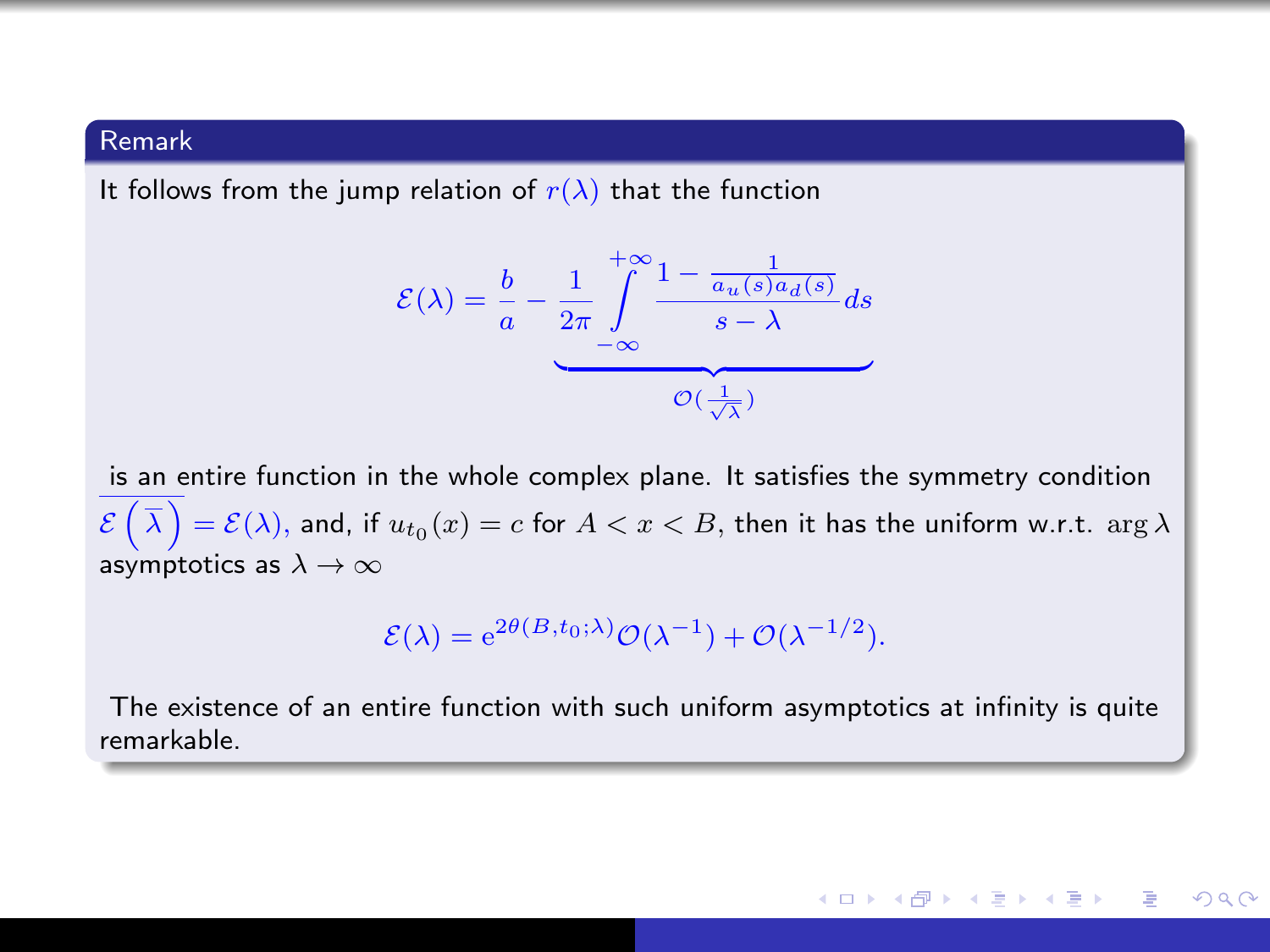#### Remark

It follows from the jump relation of  $r(\lambda)$  that the function

$$
\mathcal{E}(\lambda) = \frac{b}{a} - \underbrace{\frac{1}{2\pi} \int_{-\infty}^{+\infty} \frac{1 - \frac{1}{a_u(s)a_d(s)}}{s - \lambda} ds}_{\mathcal{O}(\frac{1}{\sqrt{\lambda}})}
$$

is an entire function in the whole complex plane. It satisfies the symmetry condition  $\mathcal{E}\left(\,\overline{\lambda}\,\right)=\mathcal{E}(\lambda),$  and, if  $u_{t_0}(x)=c$  for  $A < x < B,$  then it has the uniform w.r.t.  $\arg \lambda$ asymptotics as  $\lambda \to \infty$ 

$$
\mathcal{E}(\lambda) = e^{2\theta(B, t_0; \lambda)} \mathcal{O}(\lambda^{-1}) + \mathcal{O}(\lambda^{-1/2}).
$$

The existence of an entire function with such uniform asymptotics at infinity is quite remarkable.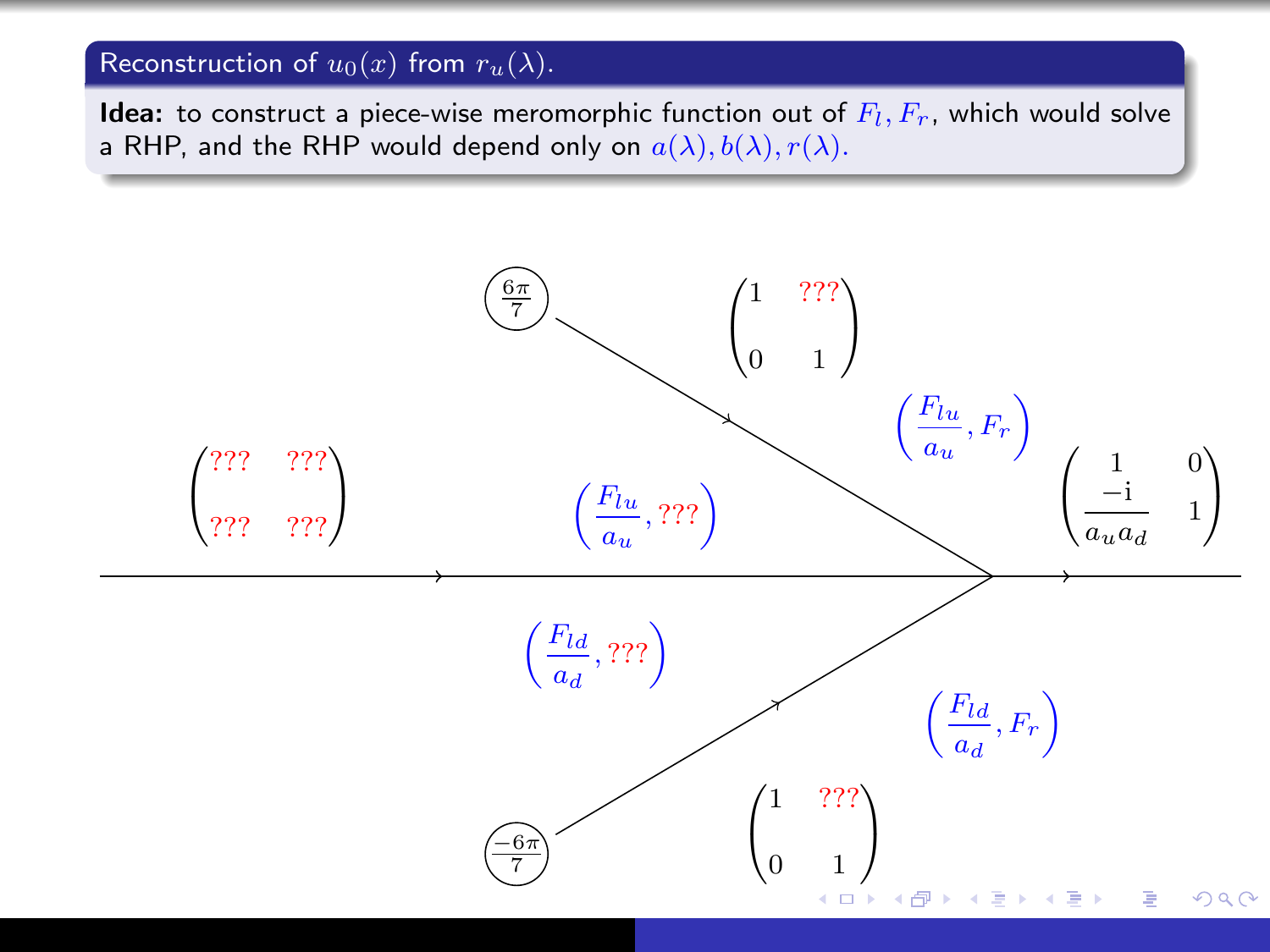## Reconstruction of  $u_0(x)$  from  $r_u(\lambda)$ .

**Idea:** to construct a piece-wise meromorphic function out of  $F_l, F_r$ , which would solve a RHP, and the RHP would depend only on  $a(\lambda), b(\lambda), r(\lambda)$ .

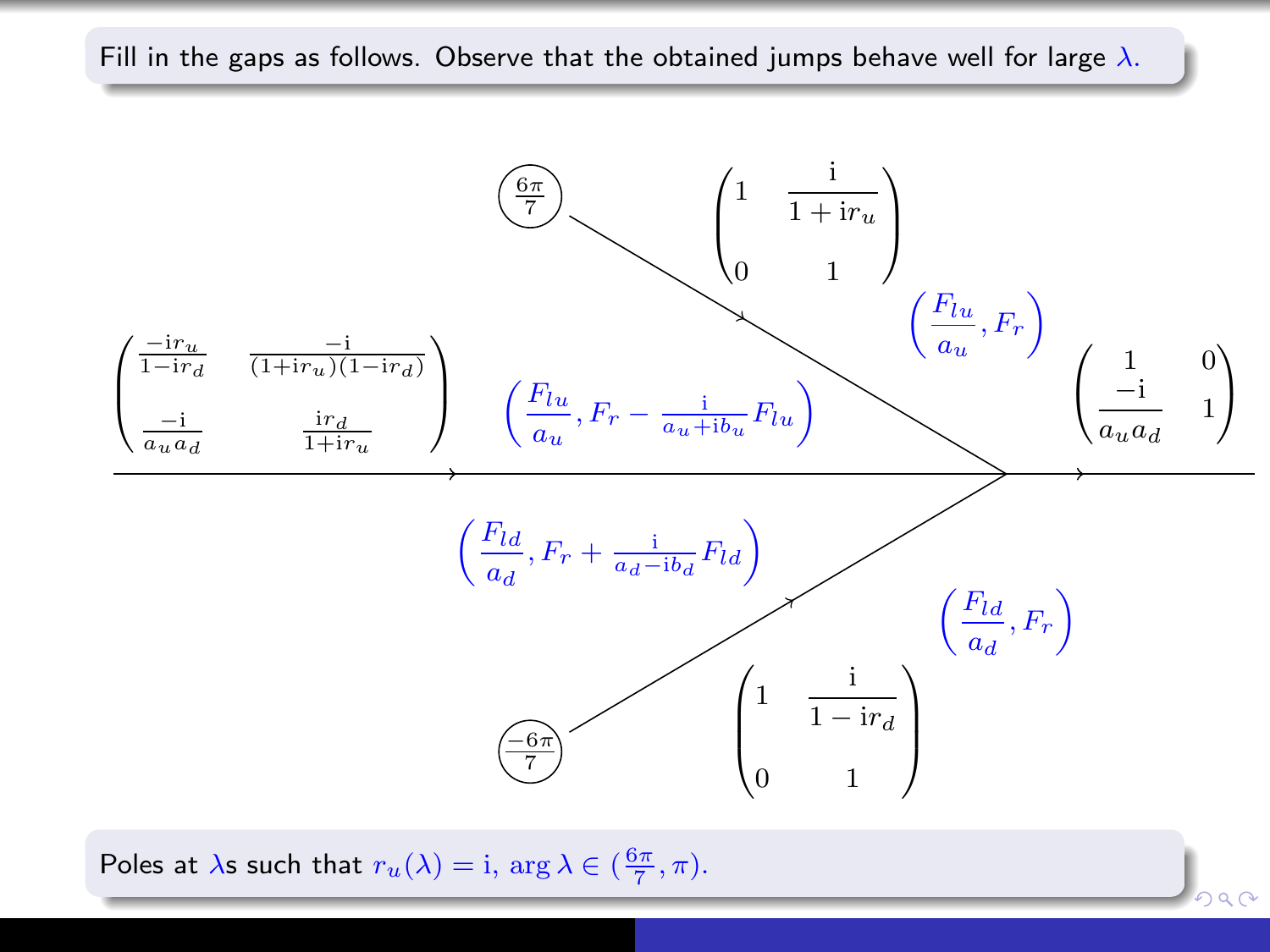

Poles at  $\lambda$ s such that  $r_u(\lambda) = i$ ,  $\arg \lambda \in (\frac{6\pi}{7}, \pi)$ .

Fill in the gaps as follows. Observe that the obtained jumps behave well for large  $\lambda$ .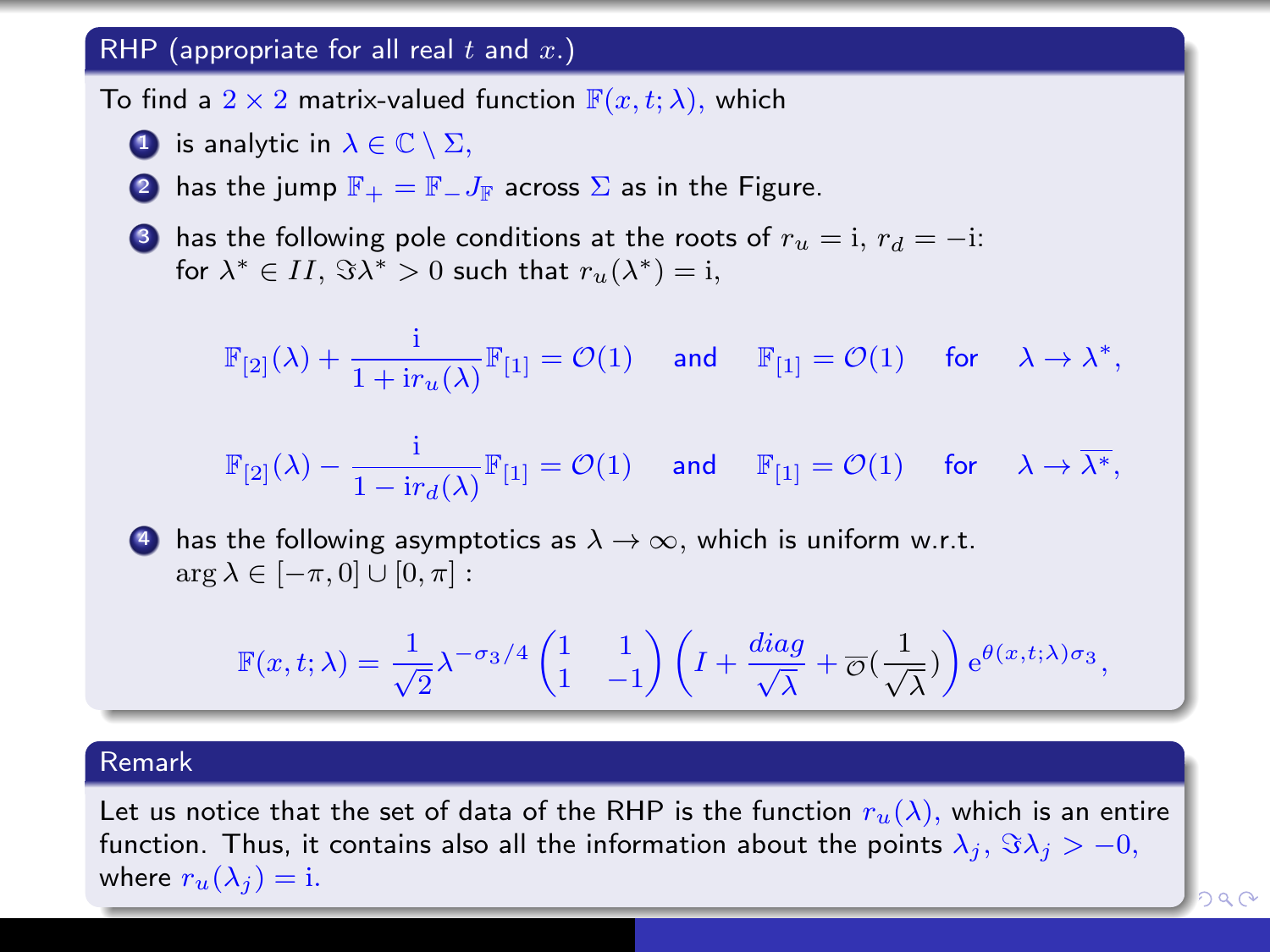#### RHP (appropriate for all real  $t$  and  $x$ .)

To find a  $2 \times 2$  matrix-valued function  $\mathbb{F}(x, t; \lambda)$ , which

**1** is analytic in  $\lambda \in \mathbb{C} \setminus \Sigma$ ,

**2** has the jump  $\mathbb{F}_+ = \mathbb{F}_- J_{\mathbb{F}}$  across  $\Sigma$  as in the Figure.

**3** has the following pole conditions at the roots of  $r_u = i$ ,  $r_d = -i$ : for  $\lambda^* \in II$ ,  $\Im \lambda^* > 0$  such that  $r_u(\lambda^*) = i$ ,

$$
\mathbb{F}_{[2]}(\lambda)+\frac{\mathrm{i}}{1+\mathrm{i} r_u(\lambda)}\mathbb{F}_{[1]}=\mathcal{O}(1)\quad\textrm{ and }\quad \mathbb{F}_{[1]}=\mathcal{O}(1)\quad\textrm{ for }\quad \lambda\to\lambda^*,
$$

$$
\mathbb{F}_{[2]}(\lambda) - \frac{\mathrm{i}}{1 - \mathrm{i} r_d(\lambda)} \mathbb{F}_{[1]} = \mathcal{O}(1) \quad \text{ and } \quad \mathbb{F}_{[1]} = \mathcal{O}(1) \quad \text{ for } \quad \lambda \to \overline{\lambda^*},
$$

4 has the following asymptotics as  $\lambda \to \infty$ , which is uniform w.r.t.  $\arg \lambda \in [-\pi, 0] \cup [0, \pi]$ :

$$
\mathbb{F}(x,t;\lambda)=\frac{1}{\sqrt{2}}\lambda^{-\sigma_3/4}\begin{pmatrix}1&1\\1&-1\end{pmatrix}\left(I+\frac{diag}{\sqrt{\lambda}}+\overline{\mathcal{O}}\left(\frac{1}{\sqrt{\lambda}}\right)\right)e^{\theta(x,t;\lambda)\sigma_3},
$$

#### Remark

Let us notice that the set of data of the RHP is the function  $r_u(\lambda)$ , which is an entire function. Thus, it contains also all the information about the points  $\lambda_j$ ,  $\Im \lambda_j > -0$ , where  $r_u(\lambda_i) = i$ .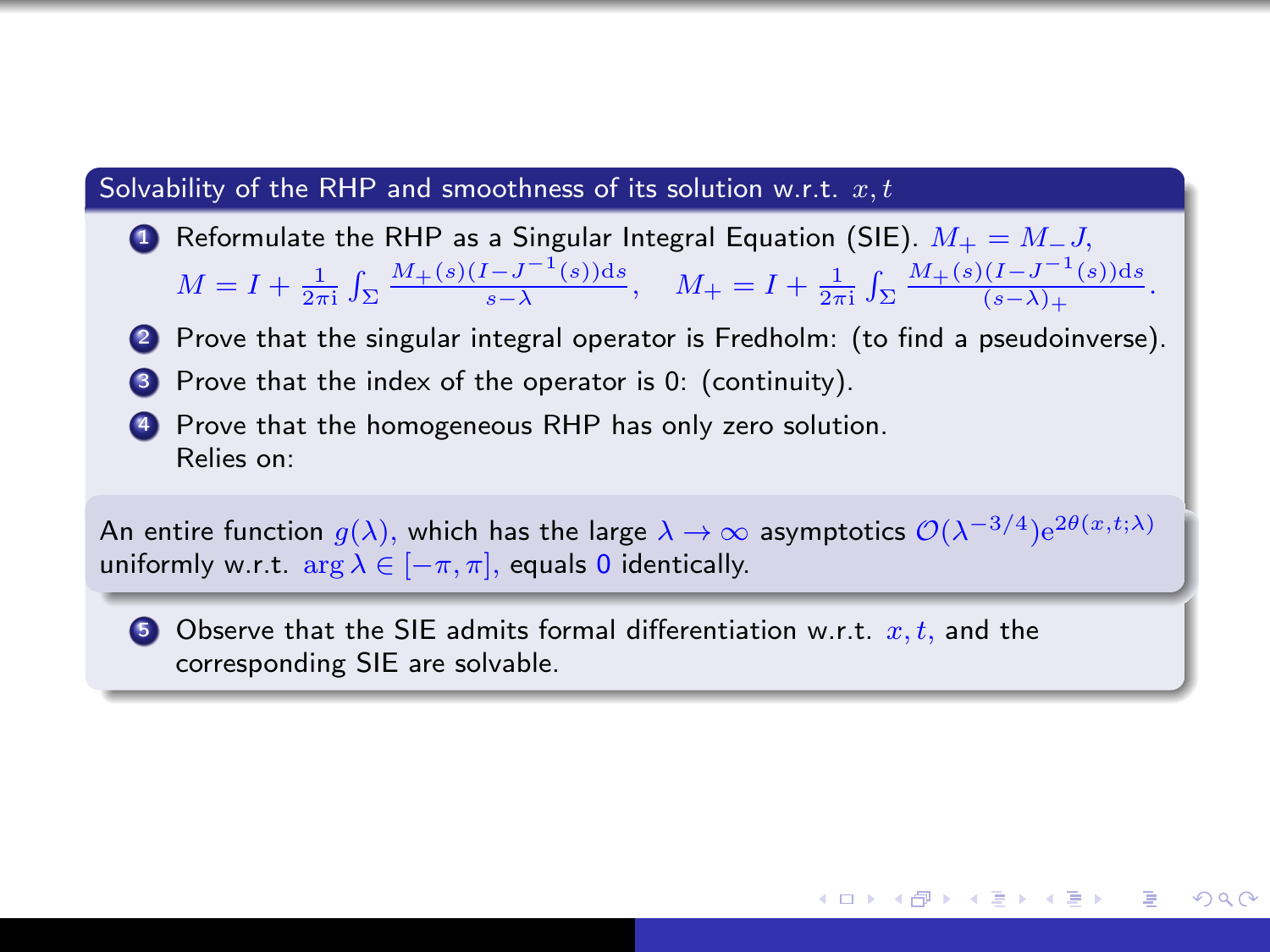### Solvability of the RHP and smoothness of its solution w.r.t.  $x, t$

- Reformulate the RHP as a Singular Integral Equation (SIE).  $M_+ = M_-J$ ,  $M = I + \frac{1}{2\pi i} \int_{\Sigma} \frac{M_{+}(s)(I - J^{-1}(s))ds}{s - \lambda}, \quad M_{+} = I + \frac{1}{2\pi i} \int_{\Sigma} \frac{M_{+}(s)(I - J^{-1}(s))ds}{(s - \lambda)_{+}}.$
- 2 Prove that the singular integral operator is Fredholm: (to find a pseudoinverse).
- 3 Prove that the index of the operator is 0: (continuity).
- 4 Prove that the homogeneous RHP has only zero solution. Relies on:

An entire function  $g(\lambda),$  which has the large  $\lambda\to\infty$  asymptotics  $\mathcal O(\lambda^{-3/4}){\rm e}^{2\theta(x,t;\lambda)}$ uniformly w.r.t.  $\arg \lambda \in [-\pi, \pi]$ , equals 0 identically.

→ (何) > → ヨ) → (日) →

 $200$ 

**3** Observe that the SIE admits formal differentiation w.r.t.  $x, t$ , and the corresponding SIE are solvable.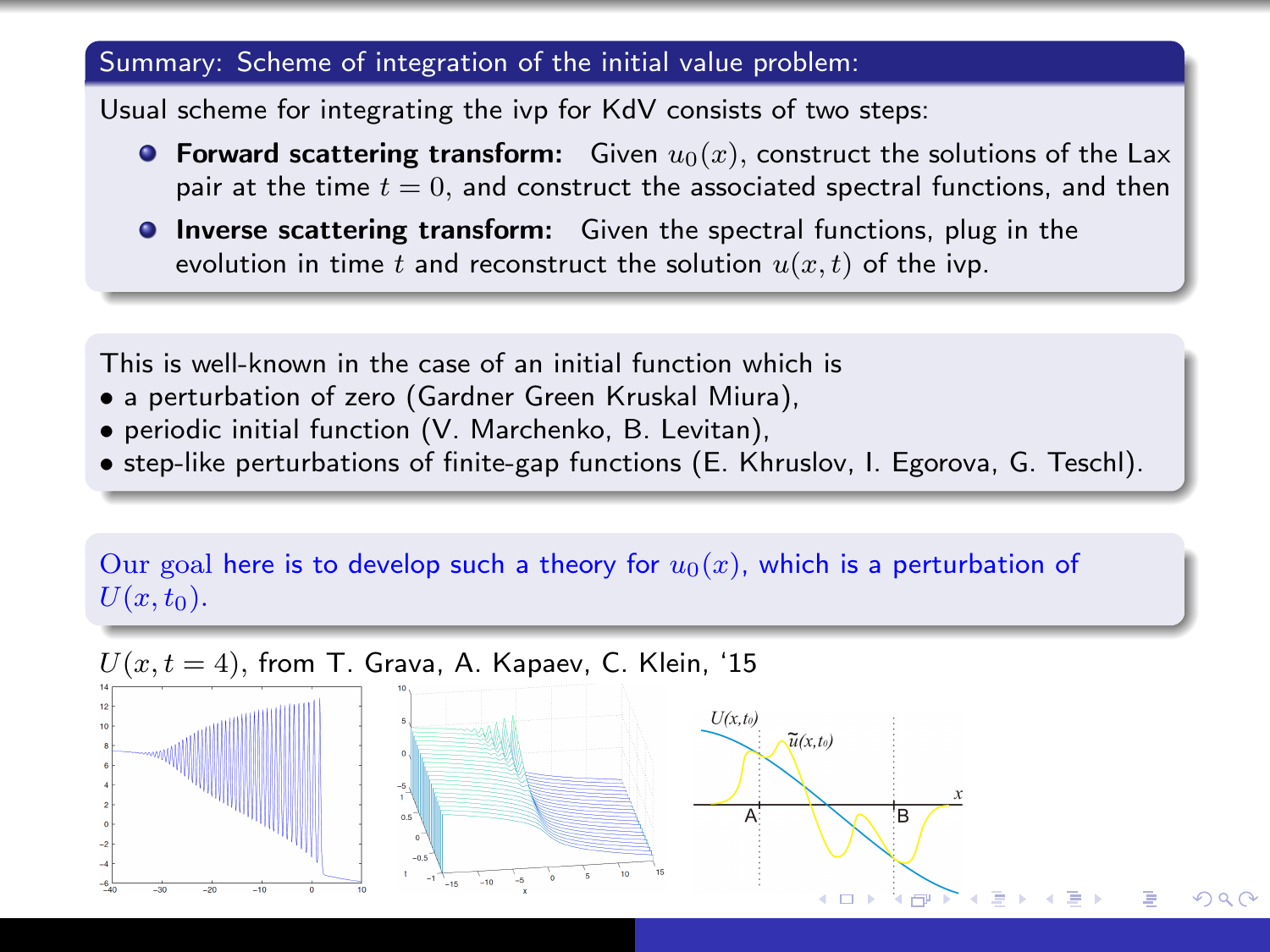## Summary: Scheme of integration of the initial value problem:

Usual scheme for integrating the ivp for KdV consists of two steps:

- **Forward scattering transform:** Given  $u_0(x)$ , construct the solutions of the Lax pair at the time  $t = 0$ , and construct the associated spectral functions, and then
- **Inverse scattering transform:** Given the spectral functions, plug in the evolution in time t and reconstruct the solution  $u(x, t)$  of the ivp.

This is well-known in the case of an initial function which is

- a perturbation of zero (Gardner Green Kruskal Miura),
- periodic initial function (V. Marchenko, B. Levitan),
- step-like perturbations of finite-gap functions (E. Khruslov, I. Egorova, G. Teschl).

#### Our goal here is to develop such a theory for  $u_0(x)$ , which is a perturbation of  $U(x, t_0)$ .

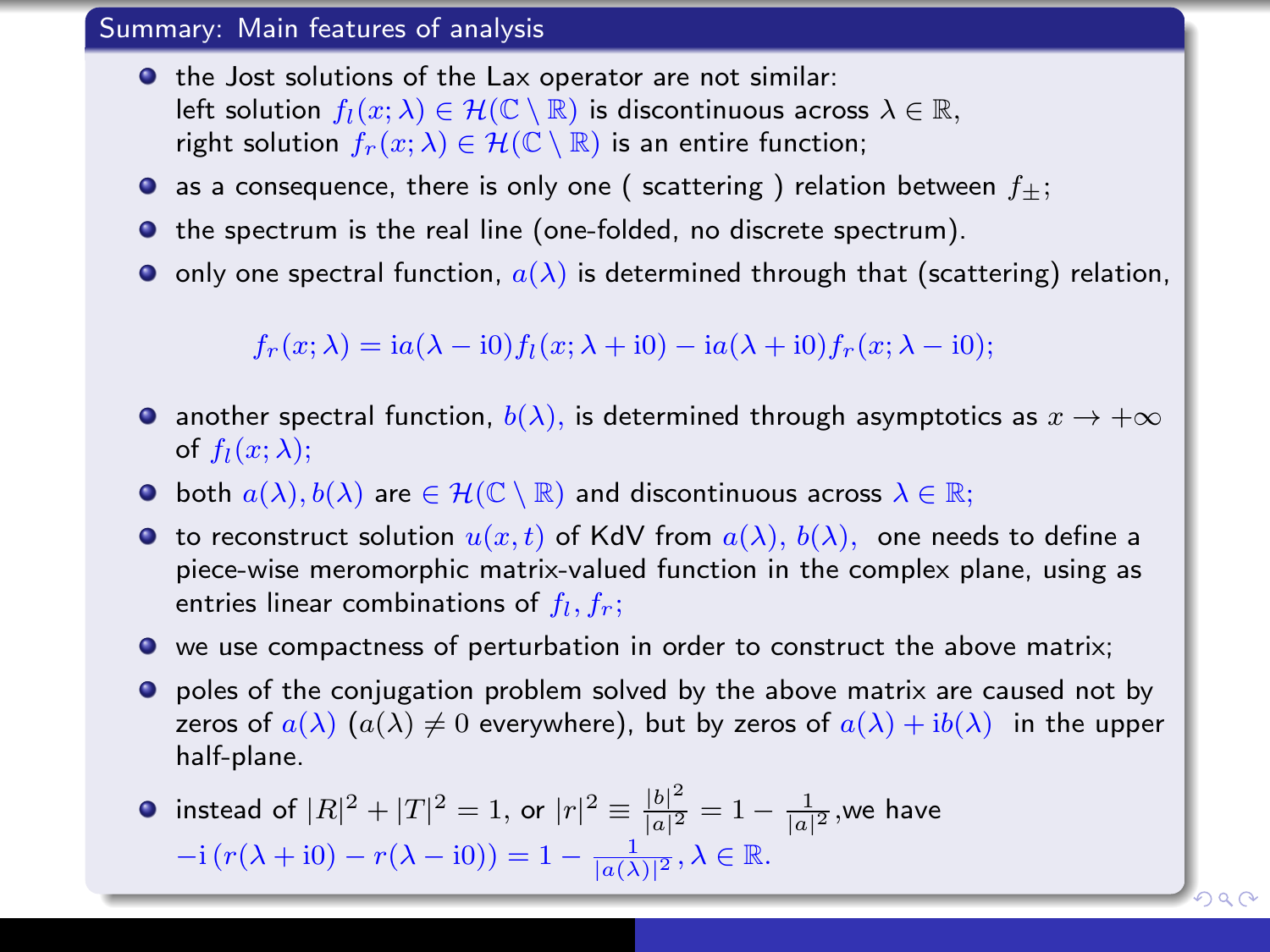#### Summary: Main features of analysis

- **•** the Jost solutions of the Lax operator are not similar: left solution  $f_l(x; \lambda) \in \mathcal{H}(\mathbb{C} \setminus \mathbb{R})$  is discontinuous across  $\lambda \in \mathbb{R}$ , right solution  $f_r(x; \lambda) \in \mathcal{H}(\mathbb{C} \setminus \mathbb{R})$  is an entire function;
- as a consequence, there is only one ( scattering ) relation between  $f_{\pm}$ ;
- **The spectrum is the real line (one-folded, no discrete spectrum).**
- $\bullet$  only one spectral function,  $a(\lambda)$  is determined through that (scattering) relation,

 $f_r(x; \lambda) =$ ia( $\lambda$  - i0)f<sub>l</sub>(x;  $\lambda$  + i0) – ia( $\lambda$  + i0)f<sub>r</sub>(x;  $\lambda$  - i0);

- another spectral function,  $b(\lambda)$ , is determined through asymptotics as  $x \to +\infty$ of  $f_l(x; \lambda)$ ;
- **•** both  $a(\lambda), b(\lambda)$  are  $\in \mathcal{H}(\mathbb{C} \setminus \mathbb{R})$  and discontinuous across  $\lambda \in \mathbb{R}$ ;
- **•** to reconstruct solution  $u(x, t)$  of KdV from  $a(\lambda)$ ,  $b(\lambda)$ , one needs to define a piece-wise meromorphic matrix-valued function in the complex plane, using as entries linear combinations of  $f_l, f_r;$
- we use compactness of perturbation in order to construct the above matrix;
- **•** poles of the conjugation problem solved by the above matrix are caused not by zeros of  $a(\lambda)$   $(a(\lambda) \neq 0$  everywhere), but by zeros of  $a(\lambda) + ib(\lambda)$  in the upper half-plane.

instead of  $|R|^2 + |T|^2 = 1$ , or  $|r|^2 \equiv \frac{|b|^2}{|a|^2}$  $\frac{|b|^2}{|a|^2}=1-\frac{1}{|a|^2},$ we have  $-i(r(\lambda + i0) - r(\lambda - i0)) = 1 - \frac{1}{|a(\lambda)|^2}, \lambda \in \mathbb{R}.$